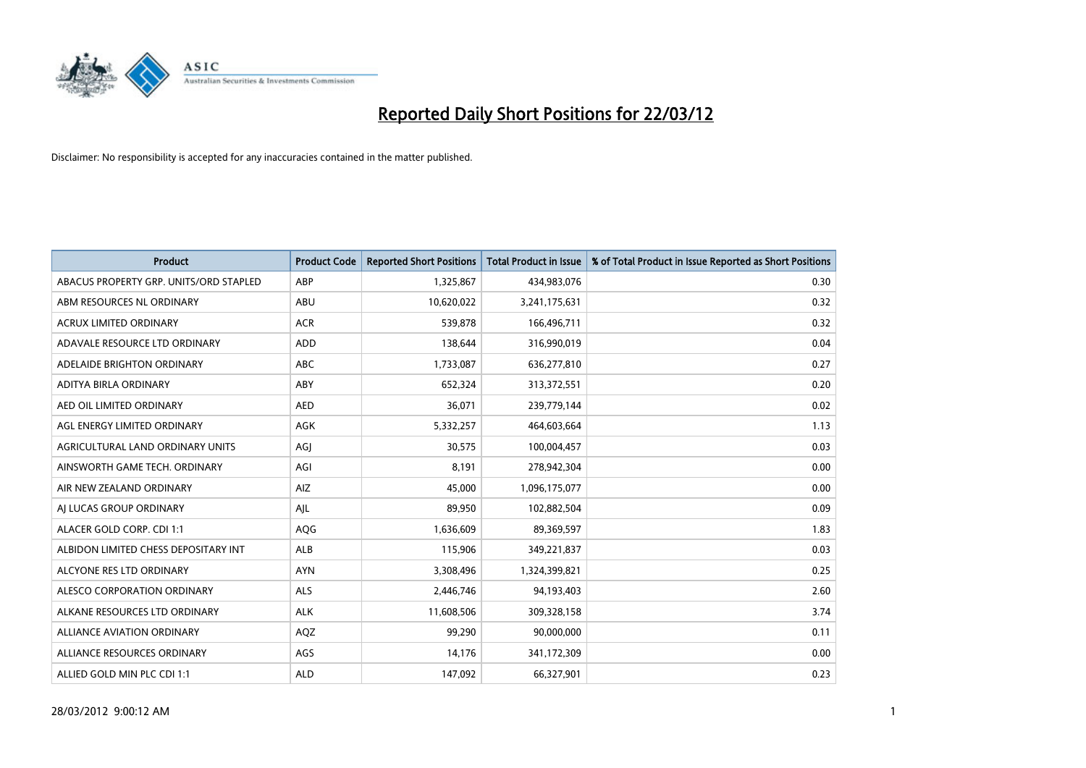

| <b>Product</b>                         | <b>Product Code</b> | <b>Reported Short Positions</b> | Total Product in Issue | % of Total Product in Issue Reported as Short Positions |
|----------------------------------------|---------------------|---------------------------------|------------------------|---------------------------------------------------------|
| ABACUS PROPERTY GRP. UNITS/ORD STAPLED | ABP                 | 1,325,867                       | 434,983,076            | 0.30                                                    |
| ABM RESOURCES NL ORDINARY              | ABU                 | 10,620,022                      | 3,241,175,631          | 0.32                                                    |
| <b>ACRUX LIMITED ORDINARY</b>          | <b>ACR</b>          | 539,878                         | 166,496,711            | 0.32                                                    |
| ADAVALE RESOURCE LTD ORDINARY          | <b>ADD</b>          | 138,644                         | 316,990,019            | 0.04                                                    |
| ADELAIDE BRIGHTON ORDINARY             | <b>ABC</b>          | 1,733,087                       | 636,277,810            | 0.27                                                    |
| ADITYA BIRLA ORDINARY                  | ABY                 | 652,324                         | 313,372,551            | 0.20                                                    |
| AED OIL LIMITED ORDINARY               | <b>AED</b>          | 36,071                          | 239,779,144            | 0.02                                                    |
| AGL ENERGY LIMITED ORDINARY            | <b>AGK</b>          | 5,332,257                       | 464,603,664            | 1.13                                                    |
| AGRICULTURAL LAND ORDINARY UNITS       | AGJ                 | 30,575                          | 100,004,457            | 0.03                                                    |
| AINSWORTH GAME TECH. ORDINARY          | AGI                 | 8,191                           | 278,942,304            | 0.00                                                    |
| AIR NEW ZEALAND ORDINARY               | AIZ                 | 45,000                          | 1,096,175,077          | 0.00                                                    |
| AI LUCAS GROUP ORDINARY                | AJL                 | 89,950                          | 102,882,504            | 0.09                                                    |
| ALACER GOLD CORP. CDI 1:1              | AQG                 | 1,636,609                       | 89,369,597             | 1.83                                                    |
| ALBIDON LIMITED CHESS DEPOSITARY INT   | <b>ALB</b>          | 115,906                         | 349,221,837            | 0.03                                                    |
| ALCYONE RES LTD ORDINARY               | <b>AYN</b>          | 3,308,496                       | 1,324,399,821          | 0.25                                                    |
| ALESCO CORPORATION ORDINARY            | <b>ALS</b>          | 2,446,746                       | 94,193,403             | 2.60                                                    |
| ALKANE RESOURCES LTD ORDINARY          | <b>ALK</b>          | 11,608,506                      | 309,328,158            | 3.74                                                    |
| <b>ALLIANCE AVIATION ORDINARY</b>      | AQZ                 | 99,290                          | 90,000,000             | 0.11                                                    |
| ALLIANCE RESOURCES ORDINARY            | AGS                 | 14,176                          | 341,172,309            | 0.00                                                    |
| ALLIED GOLD MIN PLC CDI 1:1            | <b>ALD</b>          | 147,092                         | 66,327,901             | 0.23                                                    |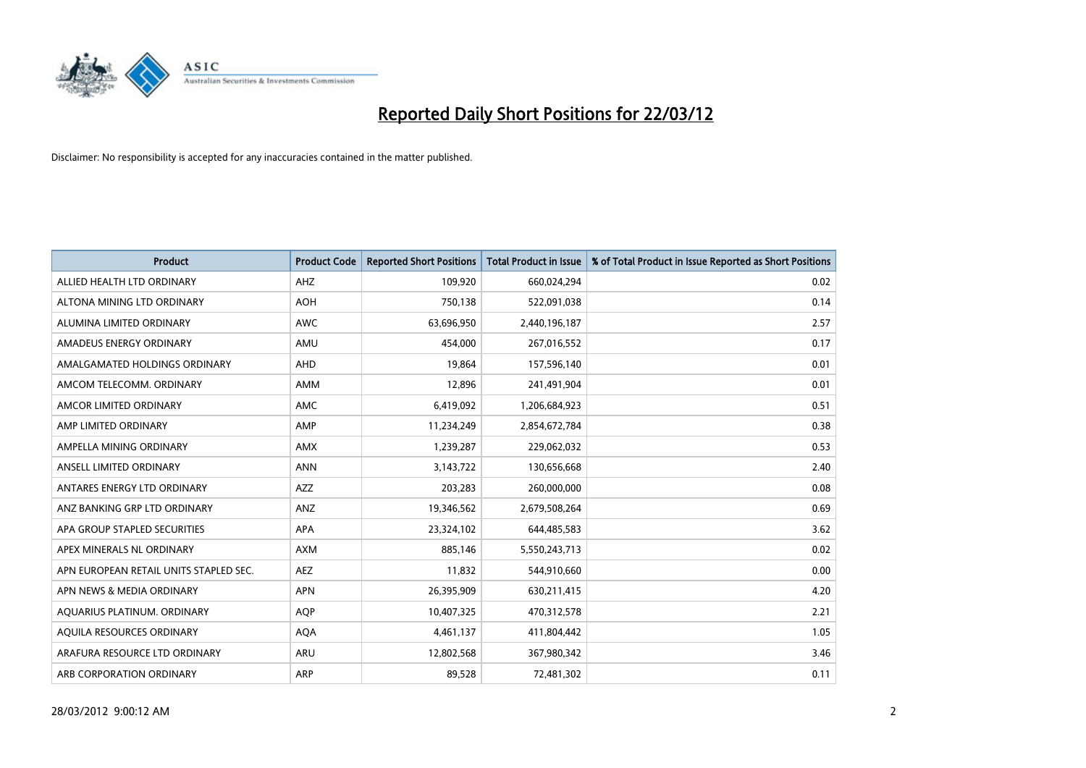

| <b>Product</b>                         | <b>Product Code</b> | <b>Reported Short Positions</b> | <b>Total Product in Issue</b> | % of Total Product in Issue Reported as Short Positions |
|----------------------------------------|---------------------|---------------------------------|-------------------------------|---------------------------------------------------------|
| ALLIED HEALTH LTD ORDINARY             | AHZ                 | 109,920                         | 660,024,294                   | 0.02                                                    |
| ALTONA MINING LTD ORDINARY             | <b>AOH</b>          | 750,138                         | 522,091,038                   | 0.14                                                    |
| ALUMINA LIMITED ORDINARY               | <b>AWC</b>          | 63,696,950                      | 2,440,196,187                 | 2.57                                                    |
| AMADEUS ENERGY ORDINARY                | AMU                 | 454,000                         | 267,016,552                   | 0.17                                                    |
| AMALGAMATED HOLDINGS ORDINARY          | AHD                 | 19,864                          | 157,596,140                   | 0.01                                                    |
| AMCOM TELECOMM. ORDINARY               | AMM                 | 12,896                          | 241,491,904                   | 0.01                                                    |
| AMCOR LIMITED ORDINARY                 | AMC                 | 6,419,092                       | 1,206,684,923                 | 0.51                                                    |
| AMP LIMITED ORDINARY                   | AMP                 | 11,234,249                      | 2,854,672,784                 | 0.38                                                    |
| AMPELLA MINING ORDINARY                | <b>AMX</b>          | 1,239,287                       | 229,062,032                   | 0.53                                                    |
| ANSELL LIMITED ORDINARY                | <b>ANN</b>          | 3,143,722                       | 130,656,668                   | 2.40                                                    |
| ANTARES ENERGY LTD ORDINARY            | AZZ                 | 203,283                         | 260,000,000                   | 0.08                                                    |
| ANZ BANKING GRP LTD ORDINARY           | ANZ                 | 19,346,562                      | 2,679,508,264                 | 0.69                                                    |
| APA GROUP STAPLED SECURITIES           | APA                 | 23,324,102                      | 644,485,583                   | 3.62                                                    |
| APEX MINERALS NL ORDINARY              | <b>AXM</b>          | 885,146                         | 5,550,243,713                 | 0.02                                                    |
| APN EUROPEAN RETAIL UNITS STAPLED SEC. | <b>AEZ</b>          | 11,832                          | 544,910,660                   | 0.00                                                    |
| APN NEWS & MEDIA ORDINARY              | <b>APN</b>          | 26,395,909                      | 630,211,415                   | 4.20                                                    |
| AQUARIUS PLATINUM. ORDINARY            | <b>AQP</b>          | 10,407,325                      | 470,312,578                   | 2.21                                                    |
| AQUILA RESOURCES ORDINARY              | <b>AQA</b>          | 4,461,137                       | 411,804,442                   | 1.05                                                    |
| ARAFURA RESOURCE LTD ORDINARY          | ARU                 | 12,802,568                      | 367,980,342                   | 3.46                                                    |
| ARB CORPORATION ORDINARY               | ARP                 | 89,528                          | 72,481,302                    | 0.11                                                    |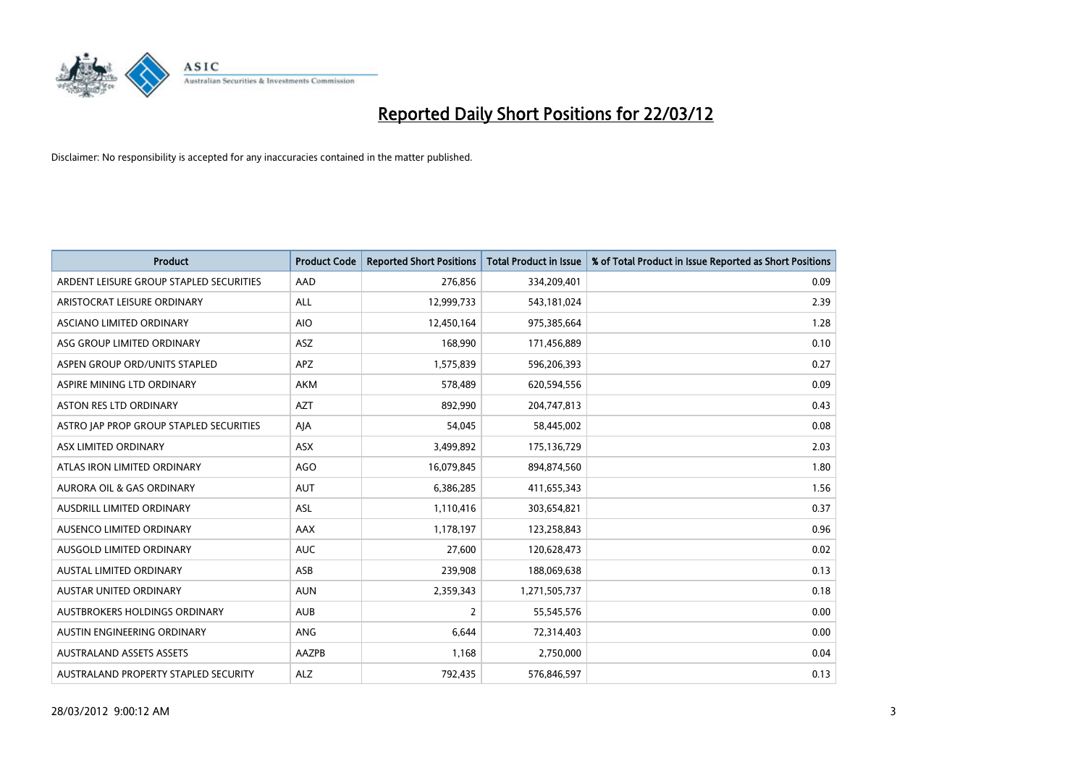

| <b>Product</b>                          | <b>Product Code</b> | <b>Reported Short Positions</b> | <b>Total Product in Issue</b> | % of Total Product in Issue Reported as Short Positions |
|-----------------------------------------|---------------------|---------------------------------|-------------------------------|---------------------------------------------------------|
| ARDENT LEISURE GROUP STAPLED SECURITIES | AAD                 | 276,856                         | 334,209,401                   | 0.09                                                    |
| ARISTOCRAT LEISURE ORDINARY             | ALL                 | 12,999,733                      | 543,181,024                   | 2.39                                                    |
| <b>ASCIANO LIMITED ORDINARY</b>         | <b>AIO</b>          | 12,450,164                      | 975,385,664                   | 1.28                                                    |
| ASG GROUP LIMITED ORDINARY              | ASZ                 | 168,990                         | 171,456,889                   | 0.10                                                    |
| ASPEN GROUP ORD/UNITS STAPLED           | <b>APZ</b>          | 1,575,839                       | 596,206,393                   | 0.27                                                    |
| ASPIRE MINING LTD ORDINARY              | <b>AKM</b>          | 578,489                         | 620,594,556                   | 0.09                                                    |
| <b>ASTON RES LTD ORDINARY</b>           | <b>AZT</b>          | 892,990                         | 204,747,813                   | 0.43                                                    |
| ASTRO JAP PROP GROUP STAPLED SECURITIES | AJA                 | 54,045                          | 58,445,002                    | 0.08                                                    |
| ASX LIMITED ORDINARY                    | <b>ASX</b>          | 3,499,892                       | 175,136,729                   | 2.03                                                    |
| ATLAS IRON LIMITED ORDINARY             | <b>AGO</b>          | 16,079,845                      | 894,874,560                   | 1.80                                                    |
| AURORA OIL & GAS ORDINARY               | AUT                 | 6,386,285                       | 411,655,343                   | 1.56                                                    |
| <b>AUSDRILL LIMITED ORDINARY</b>        | ASL                 | 1,110,416                       | 303,654,821                   | 0.37                                                    |
| AUSENCO LIMITED ORDINARY                | AAX                 | 1,178,197                       | 123,258,843                   | 0.96                                                    |
| AUSGOLD LIMITED ORDINARY                | <b>AUC</b>          | 27,600                          | 120,628,473                   | 0.02                                                    |
| <b>AUSTAL LIMITED ORDINARY</b>          | ASB                 | 239,908                         | 188,069,638                   | 0.13                                                    |
| AUSTAR UNITED ORDINARY                  | <b>AUN</b>          | 2,359,343                       | 1,271,505,737                 | 0.18                                                    |
| AUSTBROKERS HOLDINGS ORDINARY           | <b>AUB</b>          | $\overline{2}$                  | 55,545,576                    | 0.00                                                    |
| AUSTIN ENGINEERING ORDINARY             | ANG                 | 6,644                           | 72,314,403                    | 0.00                                                    |
| <b>AUSTRALAND ASSETS ASSETS</b>         | AAZPB               | 1,168                           | 2,750,000                     | 0.04                                                    |
| AUSTRALAND PROPERTY STAPLED SECURITY    | <b>ALZ</b>          | 792,435                         | 576,846,597                   | 0.13                                                    |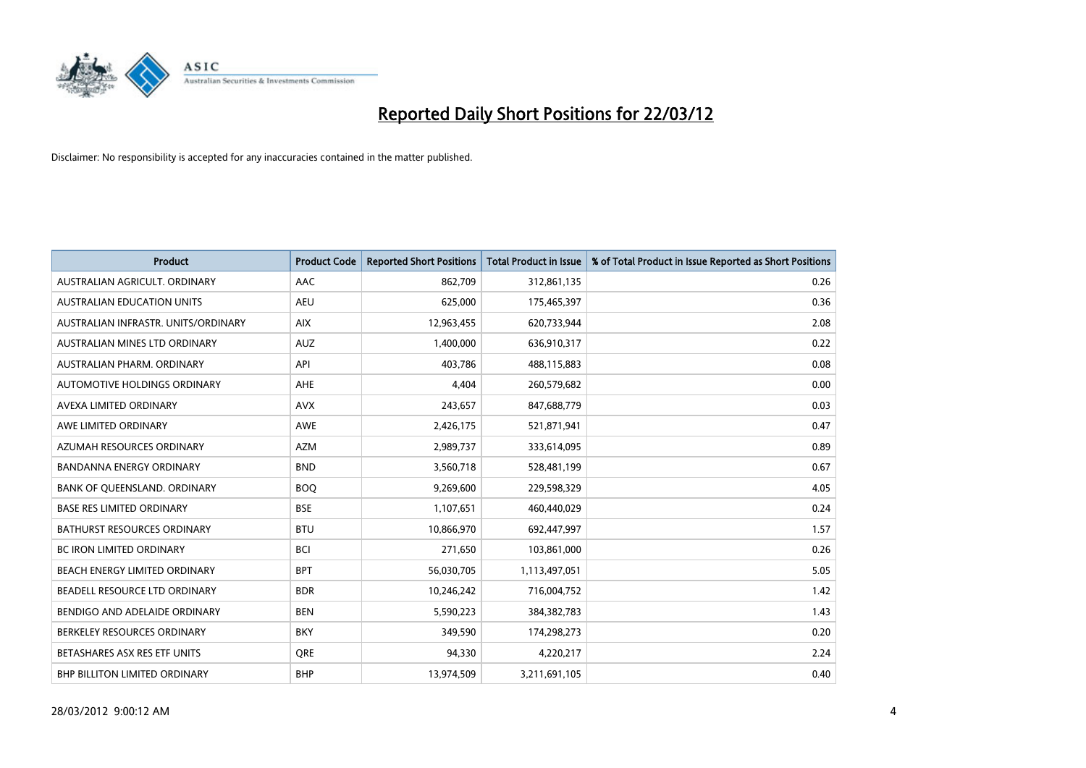

| <b>Product</b>                      | <b>Product Code</b> | <b>Reported Short Positions</b> | <b>Total Product in Issue</b> | % of Total Product in Issue Reported as Short Positions |
|-------------------------------------|---------------------|---------------------------------|-------------------------------|---------------------------------------------------------|
| AUSTRALIAN AGRICULT, ORDINARY       | AAC                 | 862,709                         | 312,861,135                   | 0.26                                                    |
| AUSTRALIAN EDUCATION UNITS          | <b>AEU</b>          | 625,000                         | 175,465,397                   | 0.36                                                    |
| AUSTRALIAN INFRASTR, UNITS/ORDINARY | <b>AIX</b>          | 12,963,455                      | 620,733,944                   | 2.08                                                    |
| AUSTRALIAN MINES LTD ORDINARY       | <b>AUZ</b>          | 1,400,000                       | 636,910,317                   | 0.22                                                    |
| AUSTRALIAN PHARM, ORDINARY          | API                 | 403,786                         | 488,115,883                   | 0.08                                                    |
| AUTOMOTIVE HOLDINGS ORDINARY        | <b>AHE</b>          | 4,404                           | 260,579,682                   | 0.00                                                    |
| AVEXA LIMITED ORDINARY              | <b>AVX</b>          | 243,657                         | 847,688,779                   | 0.03                                                    |
| AWE LIMITED ORDINARY                | AWE                 | 2,426,175                       | 521,871,941                   | 0.47                                                    |
| AZUMAH RESOURCES ORDINARY           | <b>AZM</b>          | 2,989,737                       | 333,614,095                   | 0.89                                                    |
| <b>BANDANNA ENERGY ORDINARY</b>     | <b>BND</b>          | 3,560,718                       | 528,481,199                   | 0.67                                                    |
| BANK OF QUEENSLAND. ORDINARY        | <b>BOQ</b>          | 9,269,600                       | 229,598,329                   | 4.05                                                    |
| <b>BASE RES LIMITED ORDINARY</b>    | <b>BSE</b>          | 1,107,651                       | 460,440,029                   | 0.24                                                    |
| BATHURST RESOURCES ORDINARY         | <b>BTU</b>          | 10,866,970                      | 692,447,997                   | 1.57                                                    |
| <b>BC IRON LIMITED ORDINARY</b>     | <b>BCI</b>          | 271,650                         | 103,861,000                   | 0.26                                                    |
| BEACH ENERGY LIMITED ORDINARY       | <b>BPT</b>          | 56,030,705                      | 1,113,497,051                 | 5.05                                                    |
| BEADELL RESOURCE LTD ORDINARY       | <b>BDR</b>          | 10,246,242                      | 716,004,752                   | 1.42                                                    |
| BENDIGO AND ADELAIDE ORDINARY       | <b>BEN</b>          | 5,590,223                       | 384, 382, 783                 | 1.43                                                    |
| BERKELEY RESOURCES ORDINARY         | <b>BKY</b>          | 349,590                         | 174,298,273                   | 0.20                                                    |
| BETASHARES ASX RES ETF UNITS        | <b>ORE</b>          | 94,330                          | 4,220,217                     | 2.24                                                    |
| BHP BILLITON LIMITED ORDINARY       | <b>BHP</b>          | 13,974,509                      | 3,211,691,105                 | 0.40                                                    |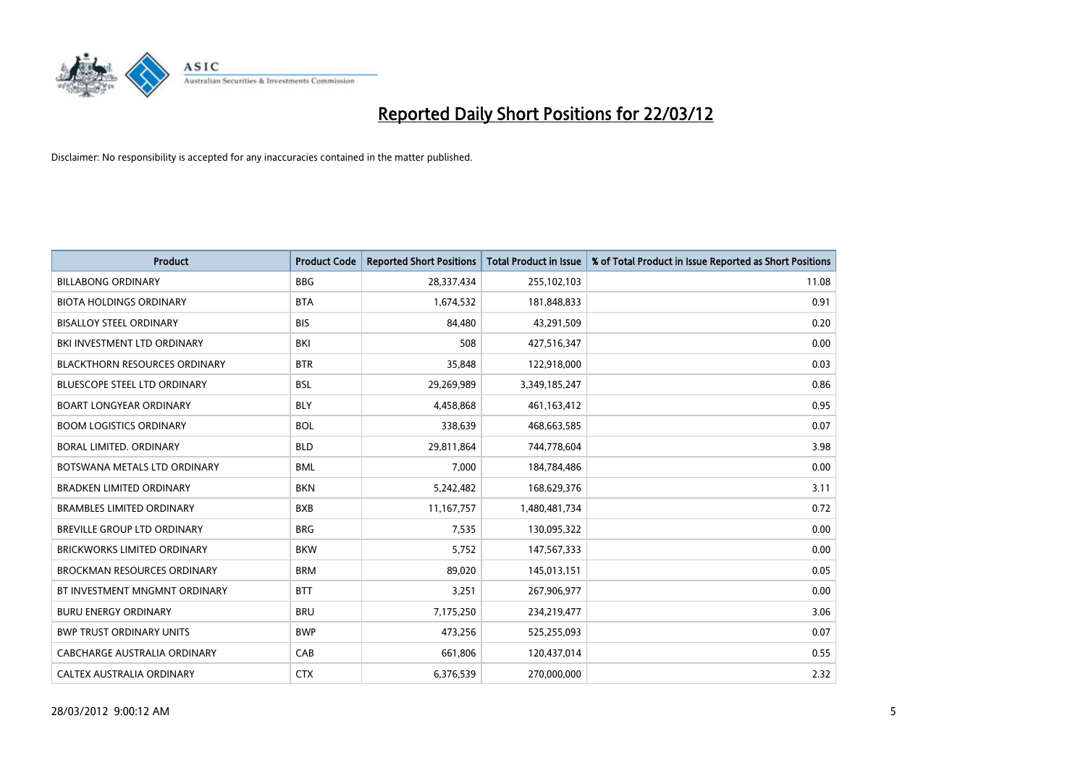

| <b>Product</b>                       | <b>Product Code</b> | <b>Reported Short Positions</b> | <b>Total Product in Issue</b> | % of Total Product in Issue Reported as Short Positions |
|--------------------------------------|---------------------|---------------------------------|-------------------------------|---------------------------------------------------------|
| <b>BILLABONG ORDINARY</b>            | <b>BBG</b>          | 28,337,434                      | 255,102,103                   | 11.08                                                   |
| <b>BIOTA HOLDINGS ORDINARY</b>       | <b>BTA</b>          | 1,674,532                       | 181,848,833                   | 0.91                                                    |
| <b>BISALLOY STEEL ORDINARY</b>       | <b>BIS</b>          | 84,480                          | 43,291,509                    | 0.20                                                    |
| BKI INVESTMENT LTD ORDINARY          | BKI                 | 508                             | 427,516,347                   | 0.00                                                    |
| <b>BLACKTHORN RESOURCES ORDINARY</b> | <b>BTR</b>          | 35,848                          | 122,918,000                   | 0.03                                                    |
| <b>BLUESCOPE STEEL LTD ORDINARY</b>  | <b>BSL</b>          | 29,269,989                      | 3,349,185,247                 | 0.86                                                    |
| <b>BOART LONGYEAR ORDINARY</b>       | <b>BLY</b>          | 4,458,868                       | 461,163,412                   | 0.95                                                    |
| <b>BOOM LOGISTICS ORDINARY</b>       | <b>BOL</b>          | 338,639                         | 468,663,585                   | 0.07                                                    |
| <b>BORAL LIMITED, ORDINARY</b>       | <b>BLD</b>          | 29,811,864                      | 744,778,604                   | 3.98                                                    |
| BOTSWANA METALS LTD ORDINARY         | <b>BML</b>          | 7,000                           | 184,784,486                   | 0.00                                                    |
| <b>BRADKEN LIMITED ORDINARY</b>      | <b>BKN</b>          | 5,242,482                       | 168,629,376                   | 3.11                                                    |
| <b>BRAMBLES LIMITED ORDINARY</b>     | <b>BXB</b>          | 11, 167, 757                    | 1,480,481,734                 | 0.72                                                    |
| BREVILLE GROUP LTD ORDINARY          | <b>BRG</b>          | 7,535                           | 130,095,322                   | 0.00                                                    |
| <b>BRICKWORKS LIMITED ORDINARY</b>   | <b>BKW</b>          | 5,752                           | 147,567,333                   | 0.00                                                    |
| <b>BROCKMAN RESOURCES ORDINARY</b>   | <b>BRM</b>          | 89,020                          | 145,013,151                   | 0.05                                                    |
| BT INVESTMENT MNGMNT ORDINARY        | <b>BTT</b>          | 3,251                           | 267,906,977                   | 0.00                                                    |
| <b>BURU ENERGY ORDINARY</b>          | <b>BRU</b>          | 7,175,250                       | 234,219,477                   | 3.06                                                    |
| <b>BWP TRUST ORDINARY UNITS</b>      | <b>BWP</b>          | 473,256                         | 525,255,093                   | 0.07                                                    |
| <b>CABCHARGE AUSTRALIA ORDINARY</b>  | CAB                 | 661,806                         | 120,437,014                   | 0.55                                                    |
| CALTEX AUSTRALIA ORDINARY            | <b>CTX</b>          | 6,376,539                       | 270,000,000                   | 2.32                                                    |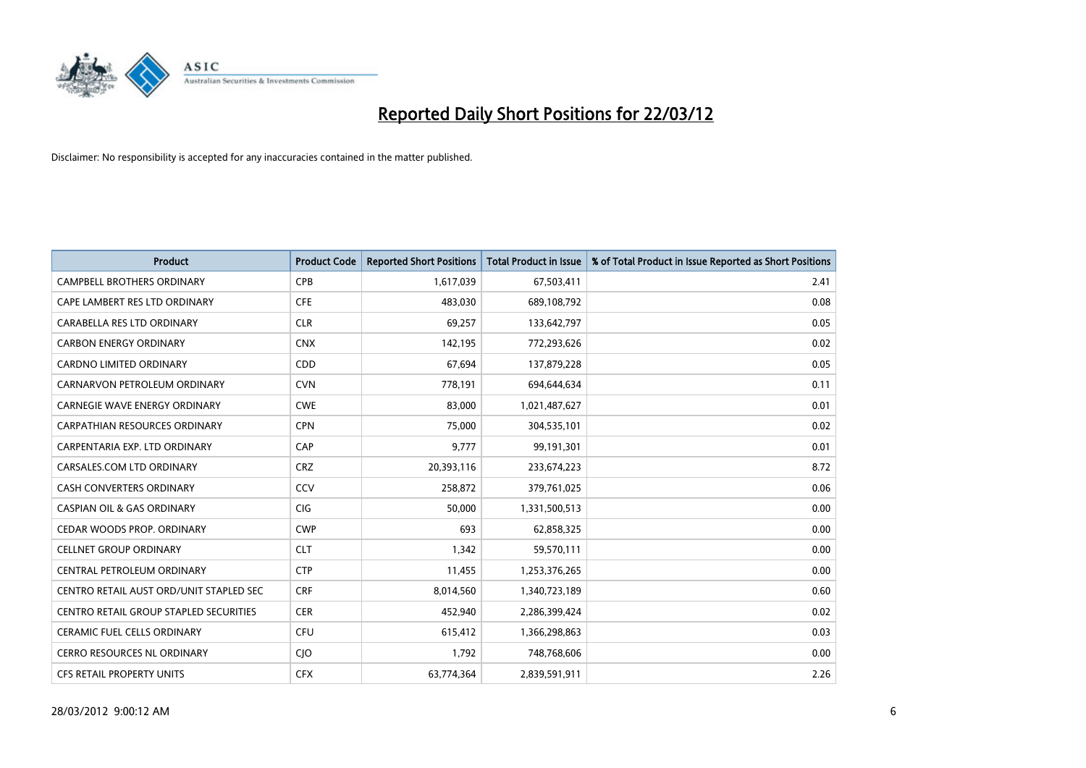

| <b>Product</b>                          | <b>Product Code</b> | <b>Reported Short Positions</b> | <b>Total Product in Issue</b> | % of Total Product in Issue Reported as Short Positions |
|-----------------------------------------|---------------------|---------------------------------|-------------------------------|---------------------------------------------------------|
| <b>CAMPBELL BROTHERS ORDINARY</b>       | <b>CPB</b>          | 1,617,039                       | 67,503,411                    | 2.41                                                    |
| CAPE LAMBERT RES LTD ORDINARY           | <b>CFE</b>          | 483,030                         | 689,108,792                   | 0.08                                                    |
| CARABELLA RES LTD ORDINARY              | <b>CLR</b>          | 69,257                          | 133,642,797                   | 0.05                                                    |
| <b>CARBON ENERGY ORDINARY</b>           | <b>CNX</b>          | 142,195                         | 772,293,626                   | 0.02                                                    |
| <b>CARDNO LIMITED ORDINARY</b>          | CDD                 | 67,694                          | 137,879,228                   | 0.05                                                    |
| CARNARVON PETROLEUM ORDINARY            | <b>CVN</b>          | 778,191                         | 694,644,634                   | 0.11                                                    |
| CARNEGIE WAVE ENERGY ORDINARY           | <b>CWE</b>          | 83,000                          | 1,021,487,627                 | 0.01                                                    |
| CARPATHIAN RESOURCES ORDINARY           | <b>CPN</b>          | 75,000                          | 304,535,101                   | 0.02                                                    |
| CARPENTARIA EXP. LTD ORDINARY           | CAP                 | 9,777                           | 99,191,301                    | 0.01                                                    |
| CARSALES.COM LTD ORDINARY               | <b>CRZ</b>          | 20,393,116                      | 233,674,223                   | 8.72                                                    |
| CASH CONVERTERS ORDINARY                | CCV                 | 258,872                         | 379,761,025                   | 0.06                                                    |
| <b>CASPIAN OIL &amp; GAS ORDINARY</b>   | CIG                 | 50,000                          | 1,331,500,513                 | 0.00                                                    |
| CEDAR WOODS PROP. ORDINARY              | <b>CWP</b>          | 693                             | 62,858,325                    | 0.00                                                    |
| <b>CELLNET GROUP ORDINARY</b>           | <b>CLT</b>          | 1,342                           | 59,570,111                    | 0.00                                                    |
| CENTRAL PETROLEUM ORDINARY              | <b>CTP</b>          | 11,455                          | 1,253,376,265                 | 0.00                                                    |
| CENTRO RETAIL AUST ORD/UNIT STAPLED SEC | <b>CRF</b>          | 8,014,560                       | 1,340,723,189                 | 0.60                                                    |
| CENTRO RETAIL GROUP STAPLED SECURITIES  | <b>CER</b>          | 452,940                         | 2,286,399,424                 | 0.02                                                    |
| <b>CERAMIC FUEL CELLS ORDINARY</b>      | <b>CFU</b>          | 615,412                         | 1,366,298,863                 | 0.03                                                    |
| <b>CERRO RESOURCES NL ORDINARY</b>      | $C$ ]O              | 1,792                           | 748,768,606                   | 0.00                                                    |
| CFS RETAIL PROPERTY UNITS               | <b>CFX</b>          | 63,774,364                      | 2,839,591,911                 | 2.26                                                    |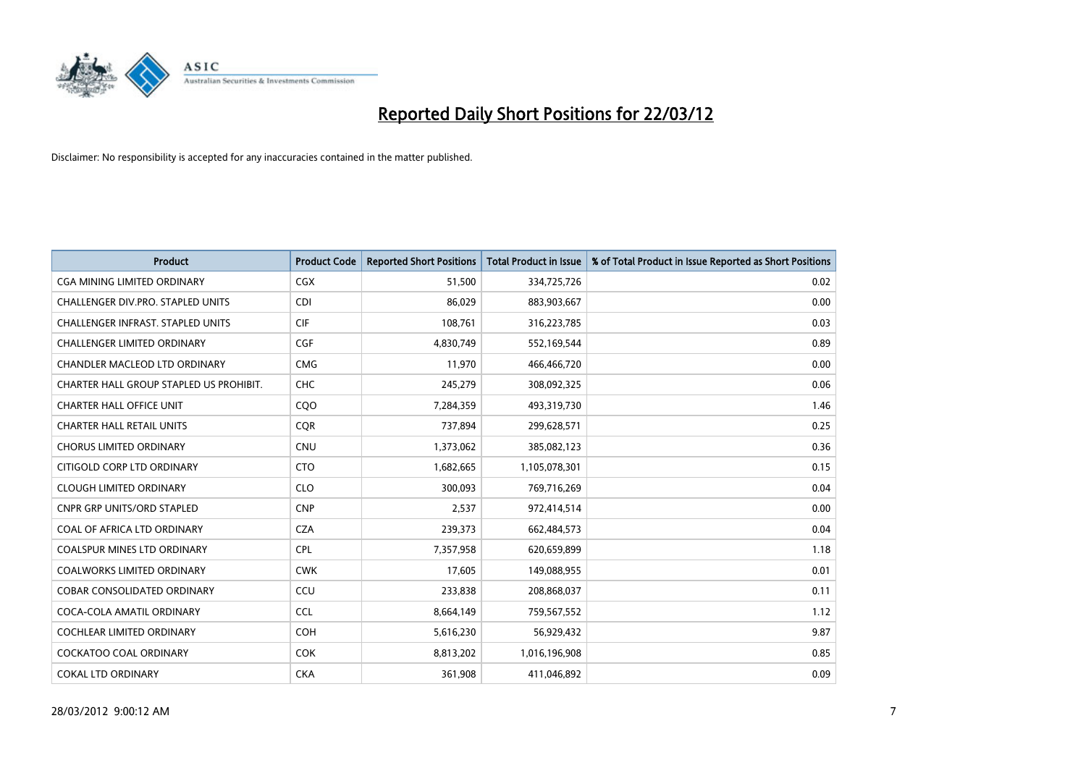

| <b>Product</b>                           | <b>Product Code</b> | <b>Reported Short Positions</b> | <b>Total Product in Issue</b> | % of Total Product in Issue Reported as Short Positions |
|------------------------------------------|---------------------|---------------------------------|-------------------------------|---------------------------------------------------------|
| <b>CGA MINING LIMITED ORDINARY</b>       | CGX                 | 51,500                          | 334,725,726                   | 0.02                                                    |
| <b>CHALLENGER DIV.PRO. STAPLED UNITS</b> | <b>CDI</b>          | 86,029                          | 883,903,667                   | 0.00                                                    |
| <b>CHALLENGER INFRAST, STAPLED UNITS</b> | <b>CIF</b>          | 108,761                         | 316,223,785                   | 0.03                                                    |
| CHALLENGER LIMITED ORDINARY              | <b>CGF</b>          | 4,830,749                       | 552,169,544                   | 0.89                                                    |
| CHANDLER MACLEOD LTD ORDINARY            | <b>CMG</b>          | 11,970                          | 466,466,720                   | 0.00                                                    |
| CHARTER HALL GROUP STAPLED US PROHIBIT.  | CHC                 | 245,279                         | 308,092,325                   | 0.06                                                    |
| <b>CHARTER HALL OFFICE UNIT</b>          | CQ <sub>O</sub>     | 7,284,359                       | 493,319,730                   | 1.46                                                    |
| <b>CHARTER HALL RETAIL UNITS</b>         | <b>COR</b>          | 737,894                         | 299,628,571                   | 0.25                                                    |
| <b>CHORUS LIMITED ORDINARY</b>           | <b>CNU</b>          | 1,373,062                       | 385,082,123                   | 0.36                                                    |
| CITIGOLD CORP LTD ORDINARY               | <b>CTO</b>          | 1,682,665                       | 1,105,078,301                 | 0.15                                                    |
| <b>CLOUGH LIMITED ORDINARY</b>           | <b>CLO</b>          | 300,093                         | 769,716,269                   | 0.04                                                    |
| <b>CNPR GRP UNITS/ORD STAPLED</b>        | <b>CNP</b>          | 2,537                           | 972,414,514                   | 0.00                                                    |
| COAL OF AFRICA LTD ORDINARY              | <b>CZA</b>          | 239,373                         | 662,484,573                   | 0.04                                                    |
| <b>COALSPUR MINES LTD ORDINARY</b>       | <b>CPL</b>          | 7,357,958                       | 620,659,899                   | 1.18                                                    |
| <b>COALWORKS LIMITED ORDINARY</b>        | <b>CWK</b>          | 17,605                          | 149,088,955                   | 0.01                                                    |
| COBAR CONSOLIDATED ORDINARY              | CCU                 | 233,838                         | 208,868,037                   | 0.11                                                    |
| COCA-COLA AMATIL ORDINARY                | <b>CCL</b>          | 8,664,149                       | 759,567,552                   | 1.12                                                    |
| <b>COCHLEAR LIMITED ORDINARY</b>         | <b>COH</b>          | 5,616,230                       | 56,929,432                    | 9.87                                                    |
| <b>COCKATOO COAL ORDINARY</b>            | <b>COK</b>          | 8,813,202                       | 1,016,196,908                 | 0.85                                                    |
| <b>COKAL LTD ORDINARY</b>                | <b>CKA</b>          | 361,908                         | 411,046,892                   | 0.09                                                    |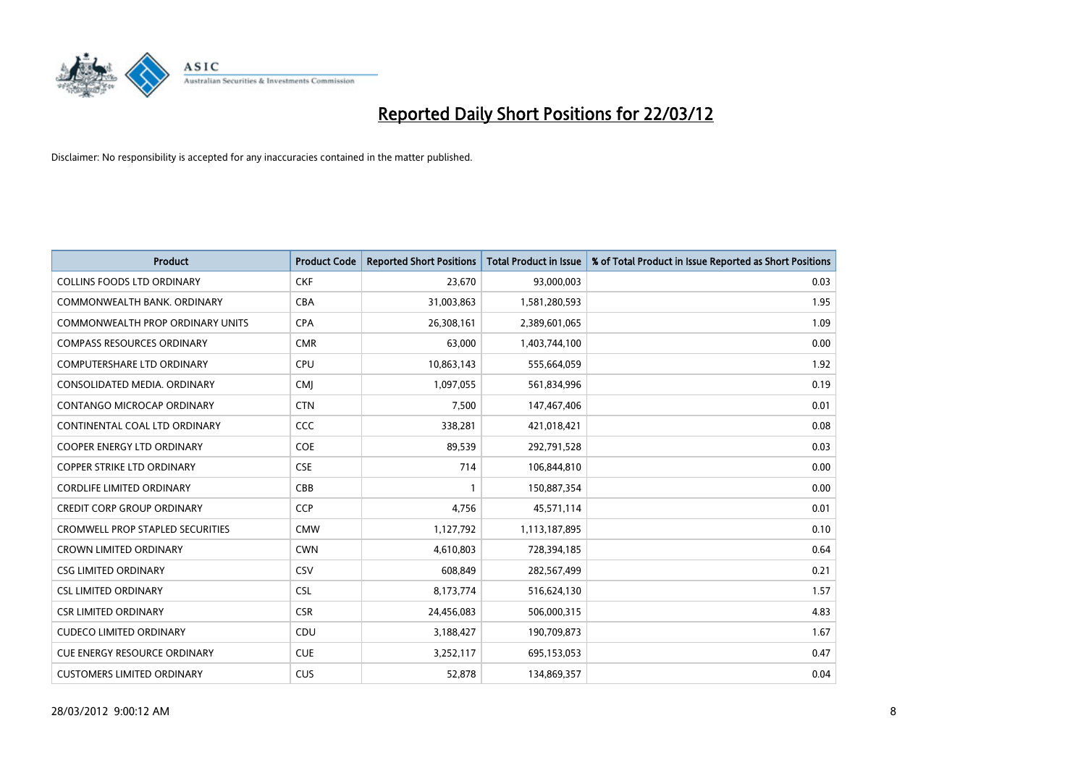

| <b>Product</b>                          | <b>Product Code</b> | <b>Reported Short Positions</b> | <b>Total Product in Issue</b> | % of Total Product in Issue Reported as Short Positions |
|-----------------------------------------|---------------------|---------------------------------|-------------------------------|---------------------------------------------------------|
| <b>COLLINS FOODS LTD ORDINARY</b>       | <b>CKF</b>          | 23,670                          | 93,000,003                    | 0.03                                                    |
| COMMONWEALTH BANK, ORDINARY             | <b>CBA</b>          | 31,003,863                      | 1,581,280,593                 | 1.95                                                    |
| <b>COMMONWEALTH PROP ORDINARY UNITS</b> | <b>CPA</b>          | 26,308,161                      | 2,389,601,065                 | 1.09                                                    |
| <b>COMPASS RESOURCES ORDINARY</b>       | <b>CMR</b>          | 63,000                          | 1,403,744,100                 | 0.00                                                    |
| <b>COMPUTERSHARE LTD ORDINARY</b>       | <b>CPU</b>          | 10,863,143                      | 555,664,059                   | 1.92                                                    |
| CONSOLIDATED MEDIA, ORDINARY            | <b>CMI</b>          | 1,097,055                       | 561,834,996                   | 0.19                                                    |
| CONTANGO MICROCAP ORDINARY              | <b>CTN</b>          | 7,500                           | 147,467,406                   | 0.01                                                    |
| CONTINENTAL COAL LTD ORDINARY           | <b>CCC</b>          | 338,281                         | 421,018,421                   | 0.08                                                    |
| <b>COOPER ENERGY LTD ORDINARY</b>       | <b>COE</b>          | 89,539                          | 292,791,528                   | 0.03                                                    |
| <b>COPPER STRIKE LTD ORDINARY</b>       | <b>CSE</b>          | 714                             | 106,844,810                   | 0.00                                                    |
| <b>CORDLIFE LIMITED ORDINARY</b>        | CBB                 |                                 | 150,887,354                   | 0.00                                                    |
| <b>CREDIT CORP GROUP ORDINARY</b>       | <b>CCP</b>          | 4,756                           | 45,571,114                    | 0.01                                                    |
| <b>CROMWELL PROP STAPLED SECURITIES</b> | <b>CMW</b>          | 1,127,792                       | 1,113,187,895                 | 0.10                                                    |
| <b>CROWN LIMITED ORDINARY</b>           | <b>CWN</b>          | 4,610,803                       | 728,394,185                   | 0.64                                                    |
| <b>CSG LIMITED ORDINARY</b>             | CSV                 | 608,849                         | 282,567,499                   | 0.21                                                    |
| <b>CSL LIMITED ORDINARY</b>             | <b>CSL</b>          | 8,173,774                       | 516,624,130                   | 1.57                                                    |
| <b>CSR LIMITED ORDINARY</b>             | <b>CSR</b>          | 24,456,083                      | 506,000,315                   | 4.83                                                    |
| <b>CUDECO LIMITED ORDINARY</b>          | CDU                 | 3,188,427                       | 190,709,873                   | 1.67                                                    |
| <b>CUE ENERGY RESOURCE ORDINARY</b>     | <b>CUE</b>          | 3,252,117                       | 695,153,053                   | 0.47                                                    |
| <b>CUSTOMERS LIMITED ORDINARY</b>       | <b>CUS</b>          | 52,878                          | 134,869,357                   | 0.04                                                    |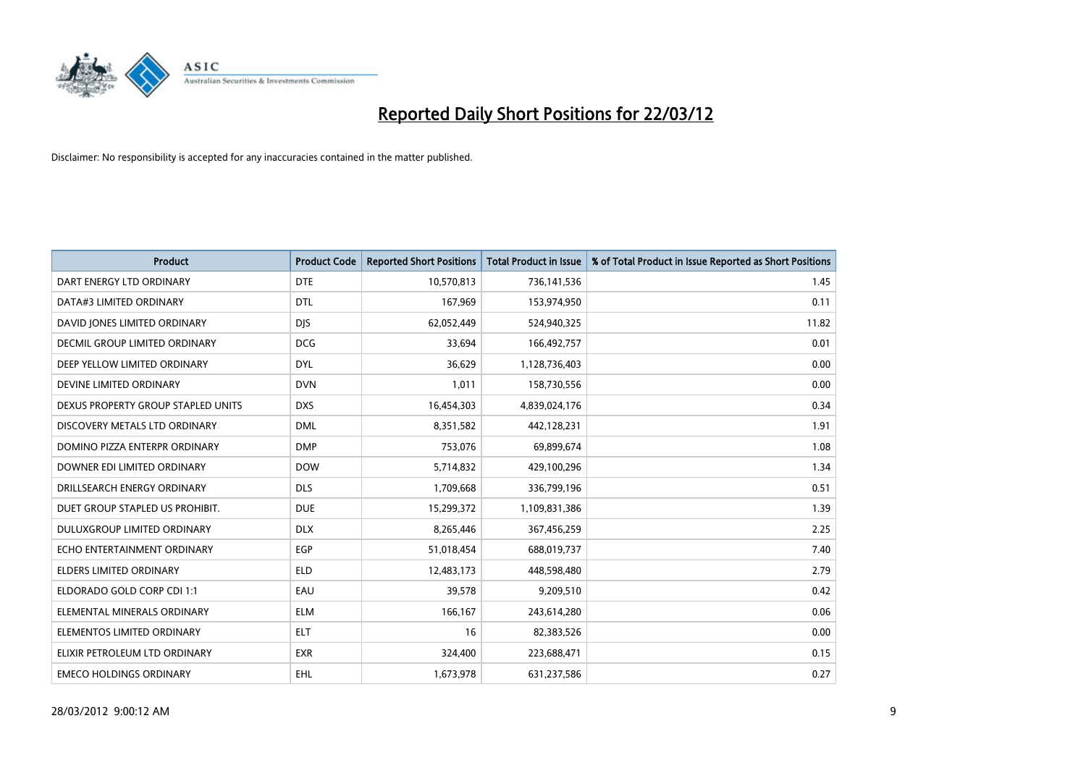

| <b>Product</b>                     | <b>Product Code</b> | <b>Reported Short Positions</b> | <b>Total Product in Issue</b> | % of Total Product in Issue Reported as Short Positions |
|------------------------------------|---------------------|---------------------------------|-------------------------------|---------------------------------------------------------|
| DART ENERGY LTD ORDINARY           | <b>DTE</b>          | 10,570,813                      | 736,141,536                   | 1.45                                                    |
| DATA#3 LIMITED ORDINARY            | <b>DTL</b>          | 167,969                         | 153,974,950                   | 0.11                                                    |
| DAVID JONES LIMITED ORDINARY       | <b>DJS</b>          | 62,052,449                      | 524,940,325                   | 11.82                                                   |
| DECMIL GROUP LIMITED ORDINARY      | <b>DCG</b>          | 33,694                          | 166,492,757                   | 0.01                                                    |
| DEEP YELLOW LIMITED ORDINARY       | <b>DYL</b>          | 36,629                          | 1,128,736,403                 | 0.00                                                    |
| DEVINE LIMITED ORDINARY            | <b>DVN</b>          | 1,011                           | 158,730,556                   | 0.00                                                    |
| DEXUS PROPERTY GROUP STAPLED UNITS | <b>DXS</b>          | 16,454,303                      | 4,839,024,176                 | 0.34                                                    |
| DISCOVERY METALS LTD ORDINARY      | <b>DML</b>          | 8,351,582                       | 442,128,231                   | 1.91                                                    |
| DOMINO PIZZA ENTERPR ORDINARY      | <b>DMP</b>          | 753,076                         | 69,899,674                    | 1.08                                                    |
| DOWNER EDI LIMITED ORDINARY        | <b>DOW</b>          | 5,714,832                       | 429,100,296                   | 1.34                                                    |
| DRILLSEARCH ENERGY ORDINARY        | <b>DLS</b>          | 1,709,668                       | 336,799,196                   | 0.51                                                    |
| DUET GROUP STAPLED US PROHIBIT.    | <b>DUE</b>          | 15,299,372                      | 1,109,831,386                 | 1.39                                                    |
| DULUXGROUP LIMITED ORDINARY        | <b>DLX</b>          | 8,265,446                       | 367,456,259                   | 2.25                                                    |
| ECHO ENTERTAINMENT ORDINARY        | EGP                 | 51,018,454                      | 688,019,737                   | 7.40                                                    |
| <b>ELDERS LIMITED ORDINARY</b>     | <b>ELD</b>          | 12,483,173                      | 448,598,480                   | 2.79                                                    |
| ELDORADO GOLD CORP CDI 1:1         | EAU                 | 39,578                          | 9,209,510                     | 0.42                                                    |
| ELEMENTAL MINERALS ORDINARY        | <b>ELM</b>          | 166,167                         | 243,614,280                   | 0.06                                                    |
| ELEMENTOS LIMITED ORDINARY         | ELT                 | 16                              | 82,383,526                    | 0.00                                                    |
| ELIXIR PETROLEUM LTD ORDINARY      | <b>EXR</b>          | 324,400                         | 223,688,471                   | 0.15                                                    |
| <b>EMECO HOLDINGS ORDINARY</b>     | <b>EHL</b>          | 1,673,978                       | 631,237,586                   | 0.27                                                    |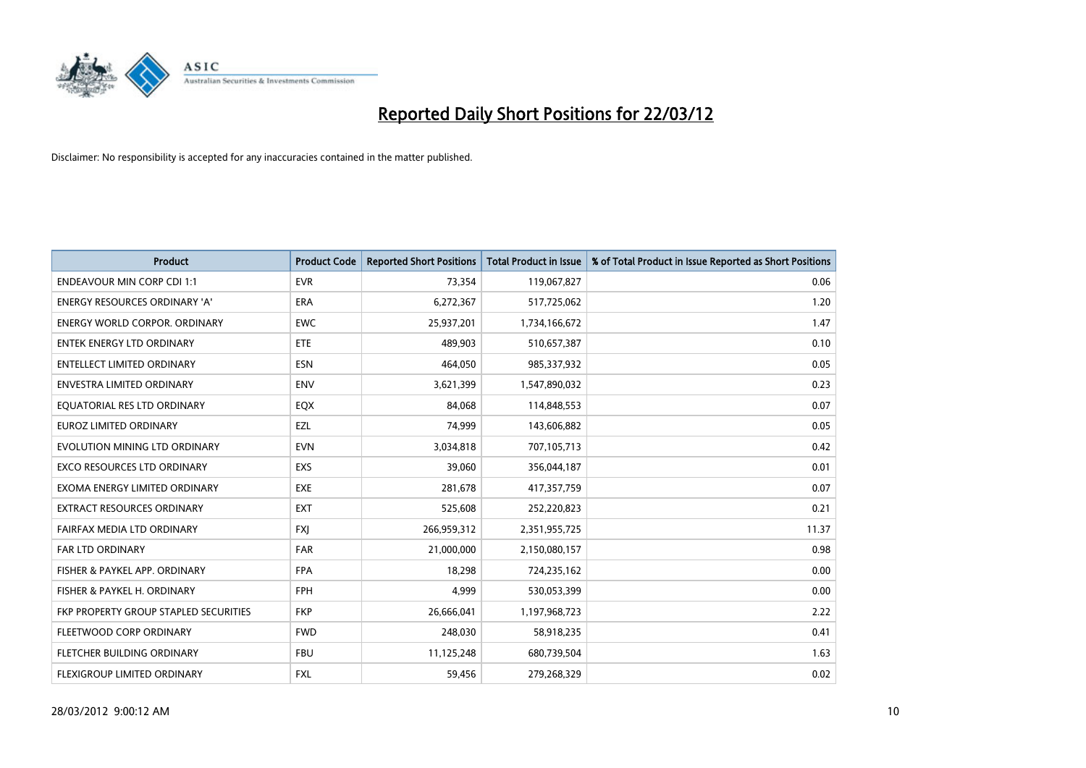

| <b>Product</b>                        | <b>Product Code</b> | <b>Reported Short Positions</b> | <b>Total Product in Issue</b> | % of Total Product in Issue Reported as Short Positions |
|---------------------------------------|---------------------|---------------------------------|-------------------------------|---------------------------------------------------------|
| <b>ENDEAVOUR MIN CORP CDI 1:1</b>     | <b>EVR</b>          | 73,354                          | 119,067,827                   | 0.06                                                    |
| ENERGY RESOURCES ORDINARY 'A'         | ERA                 | 6,272,367                       | 517,725,062                   | 1.20                                                    |
| <b>ENERGY WORLD CORPOR, ORDINARY</b>  | <b>EWC</b>          | 25,937,201                      | 1,734,166,672                 | 1.47                                                    |
| <b>ENTEK ENERGY LTD ORDINARY</b>      | <b>ETE</b>          | 489,903                         | 510,657,387                   | 0.10                                                    |
| <b>ENTELLECT LIMITED ORDINARY</b>     | <b>ESN</b>          | 464,050                         | 985,337,932                   | 0.05                                                    |
| <b>ENVESTRA LIMITED ORDINARY</b>      | <b>ENV</b>          | 3,621,399                       | 1,547,890,032                 | 0.23                                                    |
| EQUATORIAL RES LTD ORDINARY           | EQX                 | 84,068                          | 114,848,553                   | 0.07                                                    |
| EUROZ LIMITED ORDINARY                | EZL                 | 74,999                          | 143,606,882                   | 0.05                                                    |
| EVOLUTION MINING LTD ORDINARY         | <b>EVN</b>          | 3,034,818                       | 707,105,713                   | 0.42                                                    |
| <b>EXCO RESOURCES LTD ORDINARY</b>    | EXS                 | 39,060                          | 356,044,187                   | 0.01                                                    |
| EXOMA ENERGY LIMITED ORDINARY         | <b>EXE</b>          | 281,678                         | 417,357,759                   | 0.07                                                    |
| <b>EXTRACT RESOURCES ORDINARY</b>     | <b>EXT</b>          | 525,608                         | 252,220,823                   | 0.21                                                    |
| FAIRFAX MEDIA LTD ORDINARY            | <b>FXI</b>          | 266,959,312                     | 2,351,955,725                 | 11.37                                                   |
| <b>FAR LTD ORDINARY</b>               | <b>FAR</b>          | 21,000,000                      | 2,150,080,157                 | 0.98                                                    |
| FISHER & PAYKEL APP. ORDINARY         | <b>FPA</b>          | 18,298                          | 724,235,162                   | 0.00                                                    |
| FISHER & PAYKEL H. ORDINARY           | FPH                 | 4,999                           | 530,053,399                   | 0.00                                                    |
| FKP PROPERTY GROUP STAPLED SECURITIES | <b>FKP</b>          | 26,666,041                      | 1,197,968,723                 | 2.22                                                    |
| FLEETWOOD CORP ORDINARY               | <b>FWD</b>          | 248,030                         | 58,918,235                    | 0.41                                                    |
| FLETCHER BUILDING ORDINARY            | <b>FBU</b>          | 11,125,248                      | 680,739,504                   | 1.63                                                    |
| FLEXIGROUP LIMITED ORDINARY           | <b>FXL</b>          | 59,456                          | 279,268,329                   | 0.02                                                    |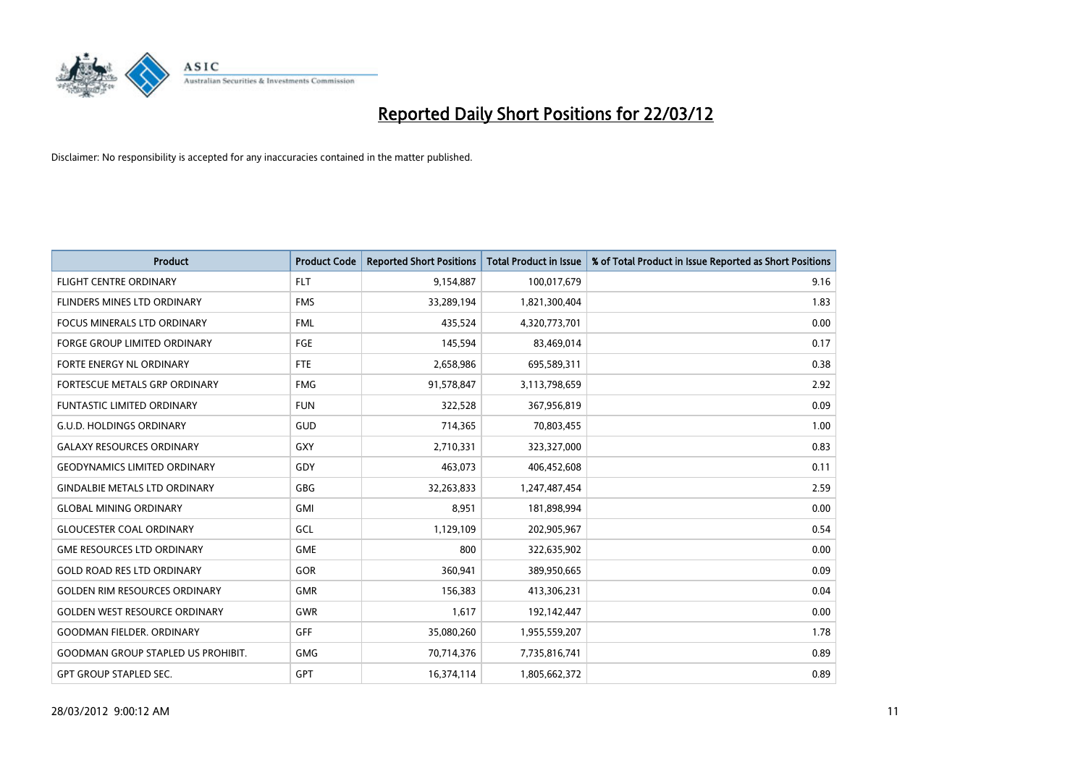

| <b>Product</b>                            | <b>Product Code</b> | <b>Reported Short Positions</b> | <b>Total Product in Issue</b> | % of Total Product in Issue Reported as Short Positions |
|-------------------------------------------|---------------------|---------------------------------|-------------------------------|---------------------------------------------------------|
| <b>FLIGHT CENTRE ORDINARY</b>             | <b>FLT</b>          | 9,154,887                       | 100,017,679                   | 9.16                                                    |
| FLINDERS MINES LTD ORDINARY               | <b>FMS</b>          | 33,289,194                      | 1,821,300,404                 | 1.83                                                    |
| <b>FOCUS MINERALS LTD ORDINARY</b>        | <b>FML</b>          | 435,524                         | 4,320,773,701                 | 0.00                                                    |
| FORGE GROUP LIMITED ORDINARY              | FGE                 | 145,594                         | 83,469,014                    | 0.17                                                    |
| FORTE ENERGY NL ORDINARY                  | FTE                 | 2,658,986                       | 695,589,311                   | 0.38                                                    |
| FORTESCUE METALS GRP ORDINARY             | <b>FMG</b>          | 91,578,847                      | 3,113,798,659                 | 2.92                                                    |
| <b>FUNTASTIC LIMITED ORDINARY</b>         | <b>FUN</b>          | 322,528                         | 367,956,819                   | 0.09                                                    |
| <b>G.U.D. HOLDINGS ORDINARY</b>           | GUD                 | 714,365                         | 70,803,455                    | 1.00                                                    |
| <b>GALAXY RESOURCES ORDINARY</b>          | GXY                 | 2,710,331                       | 323,327,000                   | 0.83                                                    |
| <b>GEODYNAMICS LIMITED ORDINARY</b>       | GDY                 | 463,073                         | 406,452,608                   | 0.11                                                    |
| <b>GINDALBIE METALS LTD ORDINARY</b>      | GBG                 | 32,263,833                      | 1,247,487,454                 | 2.59                                                    |
| <b>GLOBAL MINING ORDINARY</b>             | GMI                 | 8,951                           | 181,898,994                   | 0.00                                                    |
| <b>GLOUCESTER COAL ORDINARY</b>           | GCL                 | 1,129,109                       | 202,905,967                   | 0.54                                                    |
| <b>GME RESOURCES LTD ORDINARY</b>         | <b>GME</b>          | 800                             | 322,635,902                   | 0.00                                                    |
| <b>GOLD ROAD RES LTD ORDINARY</b>         | GOR                 | 360,941                         | 389,950,665                   | 0.09                                                    |
| <b>GOLDEN RIM RESOURCES ORDINARY</b>      | <b>GMR</b>          | 156,383                         | 413,306,231                   | 0.04                                                    |
| <b>GOLDEN WEST RESOURCE ORDINARY</b>      | GWR                 | 1,617                           | 192,142,447                   | 0.00                                                    |
| <b>GOODMAN FIELDER, ORDINARY</b>          | <b>GFF</b>          | 35,080,260                      | 1,955,559,207                 | 1.78                                                    |
| <b>GOODMAN GROUP STAPLED US PROHIBIT.</b> | <b>GMG</b>          | 70,714,376                      | 7,735,816,741                 | 0.89                                                    |
| <b>GPT GROUP STAPLED SEC.</b>             | <b>GPT</b>          | 16,374,114                      | 1,805,662,372                 | 0.89                                                    |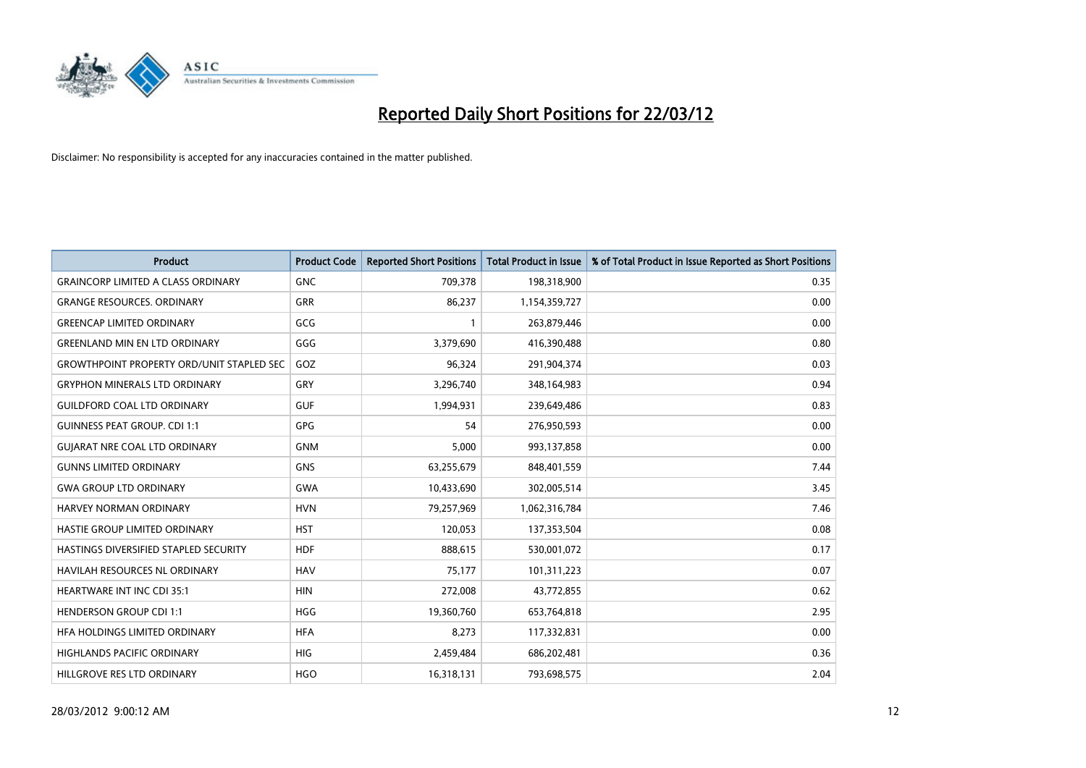

| <b>Product</b>                                   | <b>Product Code</b> | <b>Reported Short Positions</b> | <b>Total Product in Issue</b> | % of Total Product in Issue Reported as Short Positions |
|--------------------------------------------------|---------------------|---------------------------------|-------------------------------|---------------------------------------------------------|
| <b>GRAINCORP LIMITED A CLASS ORDINARY</b>        | <b>GNC</b>          | 709,378                         | 198,318,900                   | 0.35                                                    |
| <b>GRANGE RESOURCES. ORDINARY</b>                | GRR                 | 86,237                          | 1,154,359,727                 | 0.00                                                    |
| <b>GREENCAP LIMITED ORDINARY</b>                 | GCG                 | 1                               | 263,879,446                   | 0.00                                                    |
| <b>GREENLAND MIN EN LTD ORDINARY</b>             | GGG                 | 3,379,690                       | 416,390,488                   | 0.80                                                    |
| <b>GROWTHPOINT PROPERTY ORD/UNIT STAPLED SEC</b> | GOZ                 | 96,324                          | 291,904,374                   | 0.03                                                    |
| <b>GRYPHON MINERALS LTD ORDINARY</b>             | GRY                 | 3,296,740                       | 348,164,983                   | 0.94                                                    |
| <b>GUILDFORD COAL LTD ORDINARY</b>               | <b>GUF</b>          | 1,994,931                       | 239,649,486                   | 0.83                                                    |
| <b>GUINNESS PEAT GROUP. CDI 1:1</b>              | <b>GPG</b>          | 54                              | 276,950,593                   | 0.00                                                    |
| <b>GUIARAT NRE COAL LTD ORDINARY</b>             | <b>GNM</b>          | 5,000                           | 993,137,858                   | 0.00                                                    |
| <b>GUNNS LIMITED ORDINARY</b>                    | <b>GNS</b>          | 63,255,679                      | 848,401,559                   | 7.44                                                    |
| <b>GWA GROUP LTD ORDINARY</b>                    | <b>GWA</b>          | 10,433,690                      | 302,005,514                   | 3.45                                                    |
| HARVEY NORMAN ORDINARY                           | <b>HVN</b>          | 79,257,969                      | 1,062,316,784                 | 7.46                                                    |
| HASTIE GROUP LIMITED ORDINARY                    | <b>HST</b>          | 120,053                         | 137,353,504                   | 0.08                                                    |
| HASTINGS DIVERSIFIED STAPLED SECURITY            | <b>HDF</b>          | 888,615                         | 530,001,072                   | 0.17                                                    |
| HAVILAH RESOURCES NL ORDINARY                    | <b>HAV</b>          | 75,177                          | 101,311,223                   | 0.07                                                    |
| HEARTWARE INT INC CDI 35:1                       | <b>HIN</b>          | 272,008                         | 43,772,855                    | 0.62                                                    |
| <b>HENDERSON GROUP CDI 1:1</b>                   | <b>HGG</b>          | 19,360,760                      | 653,764,818                   | 2.95                                                    |
| HFA HOLDINGS LIMITED ORDINARY                    | <b>HFA</b>          | 8,273                           | 117,332,831                   | 0.00                                                    |
| <b>HIGHLANDS PACIFIC ORDINARY</b>                | <b>HIG</b>          | 2,459,484                       | 686,202,481                   | 0.36                                                    |
| HILLGROVE RES LTD ORDINARY                       | <b>HGO</b>          | 16,318,131                      | 793,698,575                   | 2.04                                                    |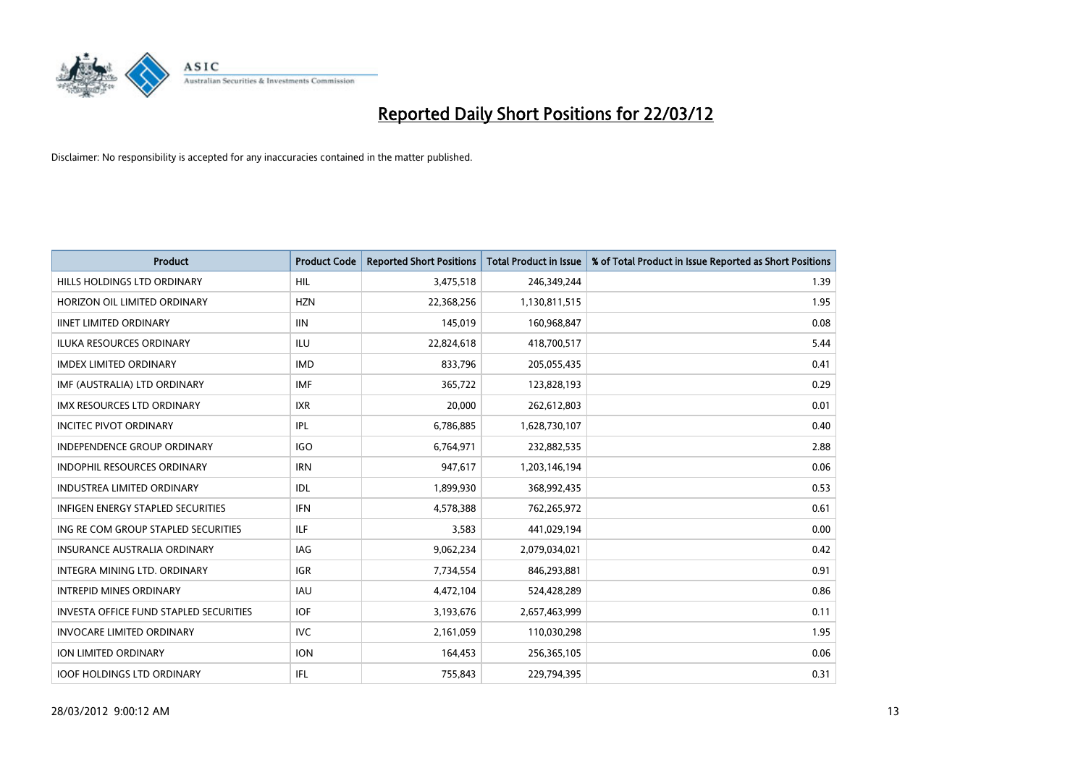

| <b>Product</b>                                | <b>Product Code</b> | <b>Reported Short Positions</b> | <b>Total Product in Issue</b> | % of Total Product in Issue Reported as Short Positions |
|-----------------------------------------------|---------------------|---------------------------------|-------------------------------|---------------------------------------------------------|
| HILLS HOLDINGS LTD ORDINARY                   | <b>HIL</b>          | 3,475,518                       | 246,349,244                   | 1.39                                                    |
| HORIZON OIL LIMITED ORDINARY                  | <b>HZN</b>          | 22,368,256                      | 1,130,811,515                 | 1.95                                                    |
| <b>IINET LIMITED ORDINARY</b>                 | <b>IIN</b>          | 145,019                         | 160,968,847                   | 0.08                                                    |
| ILUKA RESOURCES ORDINARY                      | ILU                 | 22,824,618                      | 418,700,517                   | 5.44                                                    |
| <b>IMDEX LIMITED ORDINARY</b>                 | <b>IMD</b>          | 833,796                         | 205,055,435                   | 0.41                                                    |
| IMF (AUSTRALIA) LTD ORDINARY                  | <b>IMF</b>          | 365,722                         | 123,828,193                   | 0.29                                                    |
| <b>IMX RESOURCES LTD ORDINARY</b>             | <b>IXR</b>          | 20,000                          | 262,612,803                   | 0.01                                                    |
| <b>INCITEC PIVOT ORDINARY</b>                 | IPL                 | 6,786,885                       | 1,628,730,107                 | 0.40                                                    |
| INDEPENDENCE GROUP ORDINARY                   | <b>IGO</b>          | 6,764,971                       | 232,882,535                   | 2.88                                                    |
| <b>INDOPHIL RESOURCES ORDINARY</b>            | <b>IRN</b>          | 947,617                         | 1,203,146,194                 | 0.06                                                    |
| <b>INDUSTREA LIMITED ORDINARY</b>             | IDL                 | 1,899,930                       | 368,992,435                   | 0.53                                                    |
| <b>INFIGEN ENERGY STAPLED SECURITIES</b>      | <b>IFN</b>          | 4,578,388                       | 762,265,972                   | 0.61                                                    |
| ING RE COM GROUP STAPLED SECURITIES           | ILF.                | 3,583                           | 441,029,194                   | 0.00                                                    |
| <b>INSURANCE AUSTRALIA ORDINARY</b>           | IAG                 | 9,062,234                       | 2,079,034,021                 | 0.42                                                    |
| INTEGRA MINING LTD, ORDINARY                  | <b>IGR</b>          | 7,734,554                       | 846,293,881                   | 0.91                                                    |
| <b>INTREPID MINES ORDINARY</b>                | <b>IAU</b>          | 4,472,104                       | 524,428,289                   | 0.86                                                    |
| <b>INVESTA OFFICE FUND STAPLED SECURITIES</b> | <b>IOF</b>          | 3,193,676                       | 2,657,463,999                 | 0.11                                                    |
| <b>INVOCARE LIMITED ORDINARY</b>              | IVC                 | 2,161,059                       | 110,030,298                   | 1.95                                                    |
| <b>ION LIMITED ORDINARY</b>                   | <b>ION</b>          | 164,453                         | 256,365,105                   | 0.06                                                    |
| <b>IOOF HOLDINGS LTD ORDINARY</b>             | IFL                 | 755,843                         | 229,794,395                   | 0.31                                                    |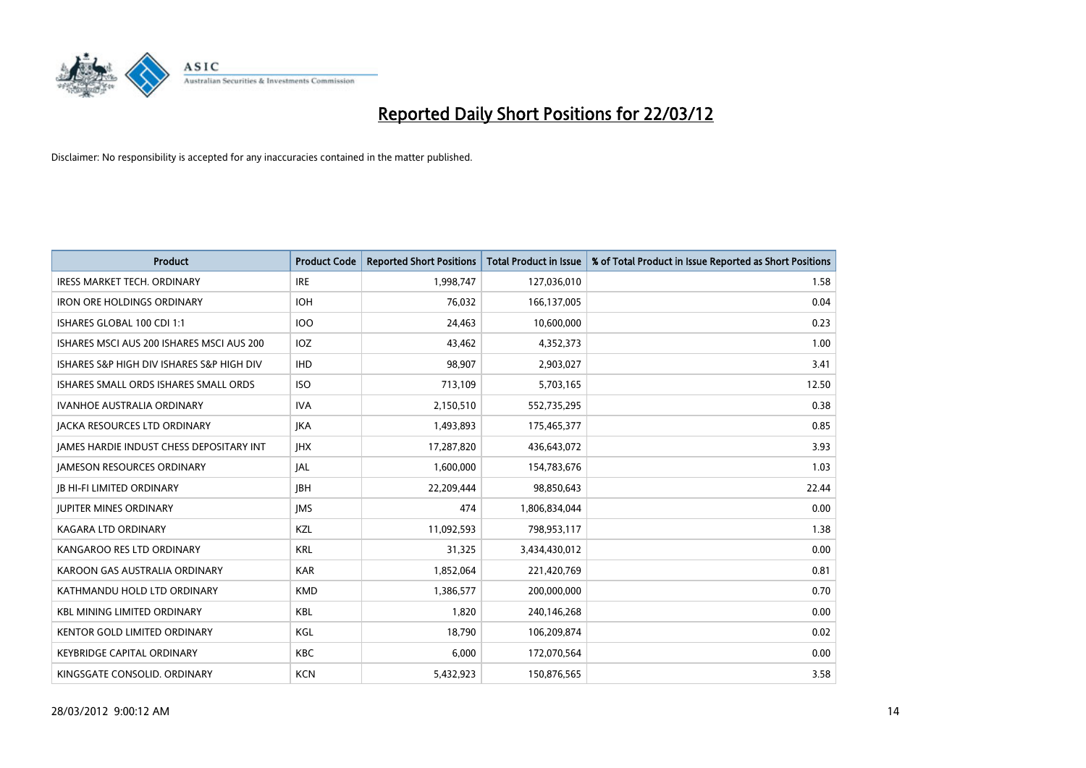

| <b>Product</b>                            | <b>Product Code</b> | <b>Reported Short Positions</b> | <b>Total Product in Issue</b> | % of Total Product in Issue Reported as Short Positions |
|-------------------------------------------|---------------------|---------------------------------|-------------------------------|---------------------------------------------------------|
| <b>IRESS MARKET TECH. ORDINARY</b>        | <b>IRE</b>          | 1,998,747                       | 127,036,010                   | 1.58                                                    |
| <b>IRON ORE HOLDINGS ORDINARY</b>         | <b>IOH</b>          | 76,032                          | 166,137,005                   | 0.04                                                    |
| ISHARES GLOBAL 100 CDI 1:1                | <b>IOO</b>          | 24.463                          | 10,600,000                    | 0.23                                                    |
| ISHARES MSCI AUS 200 ISHARES MSCI AUS 200 | <b>IOZ</b>          | 43,462                          | 4,352,373                     | 1.00                                                    |
| ISHARES S&P HIGH DIV ISHARES S&P HIGH DIV | <b>IHD</b>          | 98,907                          | 2,903,027                     | 3.41                                                    |
| ISHARES SMALL ORDS ISHARES SMALL ORDS     | <b>ISO</b>          | 713,109                         | 5,703,165                     | 12.50                                                   |
| <b>IVANHOE AUSTRALIA ORDINARY</b>         | <b>IVA</b>          | 2,150,510                       | 552,735,295                   | 0.38                                                    |
| <b>JACKA RESOURCES LTD ORDINARY</b>       | <b>JKA</b>          | 1,493,893                       | 175,465,377                   | 0.85                                                    |
| JAMES HARDIE INDUST CHESS DEPOSITARY INT  | <b>IHX</b>          | 17,287,820                      | 436,643,072                   | 3.93                                                    |
| <b>JAMESON RESOURCES ORDINARY</b>         | <b>JAL</b>          | 1,600,000                       | 154,783,676                   | 1.03                                                    |
| <b>JB HI-FI LIMITED ORDINARY</b>          | <b>JBH</b>          | 22,209,444                      | 98,850,643                    | 22.44                                                   |
| <b>JUPITER MINES ORDINARY</b>             | <b>IMS</b>          | 474                             | 1,806,834,044                 | 0.00                                                    |
| <b>KAGARA LTD ORDINARY</b>                | KZL                 | 11,092,593                      | 798,953,117                   | 1.38                                                    |
| KANGAROO RES LTD ORDINARY                 | <b>KRL</b>          | 31,325                          | 3,434,430,012                 | 0.00                                                    |
| KAROON GAS AUSTRALIA ORDINARY             | <b>KAR</b>          | 1,852,064                       | 221,420,769                   | 0.81                                                    |
| KATHMANDU HOLD LTD ORDINARY               | <b>KMD</b>          | 1,386,577                       | 200,000,000                   | 0.70                                                    |
| <b>KBL MINING LIMITED ORDINARY</b>        | KBL                 | 1,820                           | 240,146,268                   | 0.00                                                    |
| KENTOR GOLD LIMITED ORDINARY              | KGL                 | 18.790                          | 106,209,874                   | 0.02                                                    |
| <b>KEYBRIDGE CAPITAL ORDINARY</b>         | <b>KBC</b>          | 6,000                           | 172,070,564                   | 0.00                                                    |
| KINGSGATE CONSOLID. ORDINARY              | <b>KCN</b>          | 5,432,923                       | 150,876,565                   | 3.58                                                    |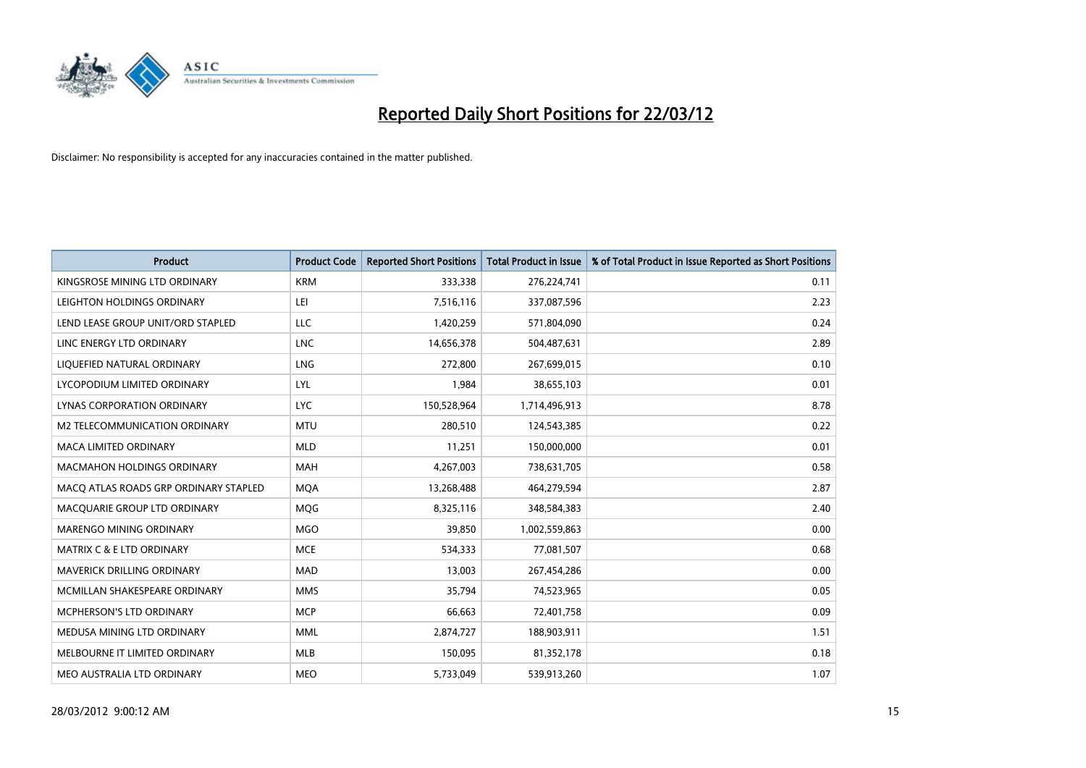

| <b>Product</b>                        | <b>Product Code</b> | <b>Reported Short Positions</b> | <b>Total Product in Issue</b> | % of Total Product in Issue Reported as Short Positions |
|---------------------------------------|---------------------|---------------------------------|-------------------------------|---------------------------------------------------------|
| KINGSROSE MINING LTD ORDINARY         | <b>KRM</b>          | 333,338                         | 276,224,741                   | 0.11                                                    |
| LEIGHTON HOLDINGS ORDINARY            | LEI                 | 7,516,116                       | 337,087,596                   | 2.23                                                    |
| LEND LEASE GROUP UNIT/ORD STAPLED     | <b>LLC</b>          | 1,420,259                       | 571,804,090                   | 0.24                                                    |
| LINC ENERGY LTD ORDINARY              | <b>LNC</b>          | 14,656,378                      | 504,487,631                   | 2.89                                                    |
| LIQUEFIED NATURAL ORDINARY            | <b>LNG</b>          | 272,800                         | 267,699,015                   | 0.10                                                    |
| LYCOPODIUM LIMITED ORDINARY           | LYL                 | 1,984                           | 38,655,103                    | 0.01                                                    |
| LYNAS CORPORATION ORDINARY            | <b>LYC</b>          | 150,528,964                     | 1,714,496,913                 | 8.78                                                    |
| M2 TELECOMMUNICATION ORDINARY         | <b>MTU</b>          | 280,510                         | 124,543,385                   | 0.22                                                    |
| MACA LIMITED ORDINARY                 | <b>MLD</b>          | 11,251                          | 150,000,000                   | 0.01                                                    |
| <b>MACMAHON HOLDINGS ORDINARY</b>     | <b>MAH</b>          | 4,267,003                       | 738,631,705                   | 0.58                                                    |
| MACQ ATLAS ROADS GRP ORDINARY STAPLED | <b>MQA</b>          | 13,268,488                      | 464,279,594                   | 2.87                                                    |
| MACQUARIE GROUP LTD ORDINARY          | <b>MOG</b>          | 8,325,116                       | 348,584,383                   | 2.40                                                    |
| MARENGO MINING ORDINARY               | <b>MGO</b>          | 39,850                          | 1,002,559,863                 | 0.00                                                    |
| <b>MATRIX C &amp; E LTD ORDINARY</b>  | <b>MCE</b>          | 534,333                         | 77,081,507                    | 0.68                                                    |
| MAVERICK DRILLING ORDINARY            | <b>MAD</b>          | 13,003                          | 267,454,286                   | 0.00                                                    |
| MCMILLAN SHAKESPEARE ORDINARY         | <b>MMS</b>          | 35,794                          | 74,523,965                    | 0.05                                                    |
| <b>MCPHERSON'S LTD ORDINARY</b>       | <b>MCP</b>          | 66,663                          | 72,401,758                    | 0.09                                                    |
| MEDUSA MINING LTD ORDINARY            | <b>MML</b>          | 2,874,727                       | 188,903,911                   | 1.51                                                    |
| MELBOURNE IT LIMITED ORDINARY         | <b>MLB</b>          | 150,095                         | 81,352,178                    | 0.18                                                    |
| MEO AUSTRALIA LTD ORDINARY            | <b>MEO</b>          | 5,733,049                       | 539,913,260                   | 1.07                                                    |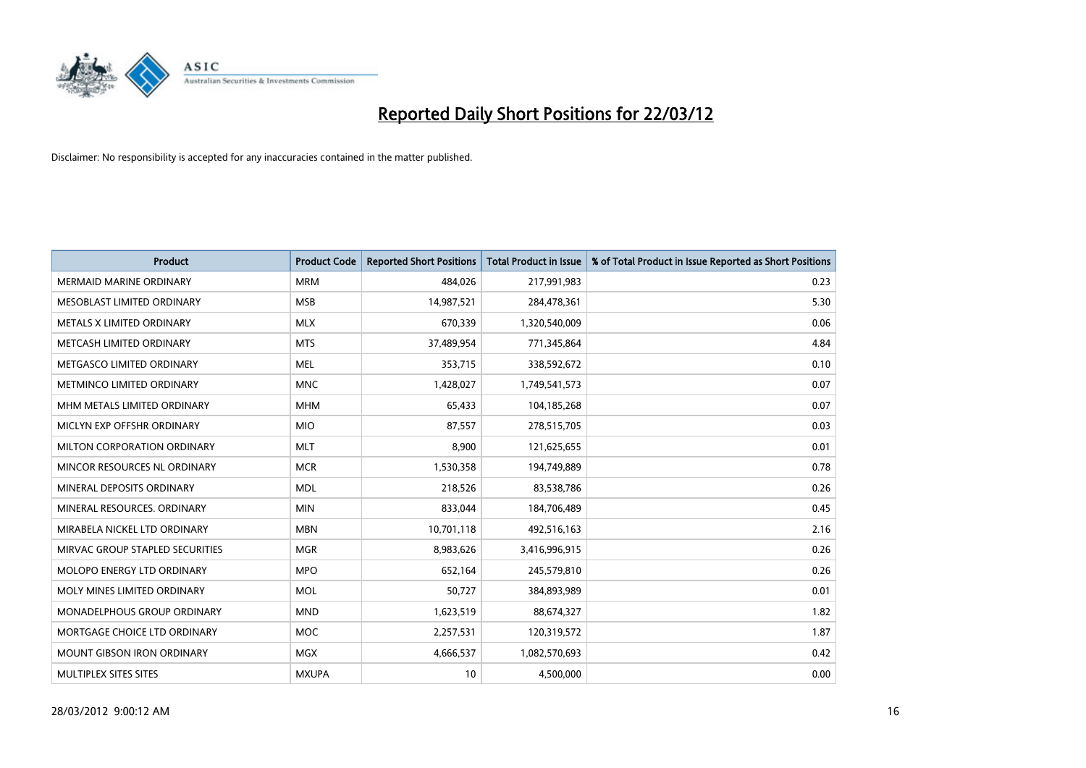

| <b>Product</b>                    | <b>Product Code</b> | <b>Reported Short Positions</b> | <b>Total Product in Issue</b> | % of Total Product in Issue Reported as Short Positions |
|-----------------------------------|---------------------|---------------------------------|-------------------------------|---------------------------------------------------------|
| <b>MERMAID MARINE ORDINARY</b>    | <b>MRM</b>          | 484,026                         | 217,991,983                   | 0.23                                                    |
| MESOBLAST LIMITED ORDINARY        | <b>MSB</b>          | 14,987,521                      | 284,478,361                   | 5.30                                                    |
| METALS X LIMITED ORDINARY         | <b>MLX</b>          | 670,339                         | 1,320,540,009                 | 0.06                                                    |
| METCASH LIMITED ORDINARY          | <b>MTS</b>          | 37,489,954                      | 771,345,864                   | 4.84                                                    |
| METGASCO LIMITED ORDINARY         | <b>MEL</b>          | 353,715                         | 338,592,672                   | 0.10                                                    |
| METMINCO LIMITED ORDINARY         | <b>MNC</b>          | 1,428,027                       | 1,749,541,573                 | 0.07                                                    |
| MHM METALS LIMITED ORDINARY       | <b>MHM</b>          | 65,433                          | 104,185,268                   | 0.07                                                    |
| MICLYN EXP OFFSHR ORDINARY        | <b>MIO</b>          | 87,557                          | 278,515,705                   | 0.03                                                    |
| MILTON CORPORATION ORDINARY       | <b>MLT</b>          | 8,900                           | 121,625,655                   | 0.01                                                    |
| MINCOR RESOURCES NL ORDINARY      | <b>MCR</b>          | 1,530,358                       | 194,749,889                   | 0.78                                                    |
| MINERAL DEPOSITS ORDINARY         | <b>MDL</b>          | 218,526                         | 83,538,786                    | 0.26                                                    |
| MINERAL RESOURCES, ORDINARY       | <b>MIN</b>          | 833,044                         | 184,706,489                   | 0.45                                                    |
| MIRABELA NICKEL LTD ORDINARY      | <b>MBN</b>          | 10,701,118                      | 492,516,163                   | 2.16                                                    |
| MIRVAC GROUP STAPLED SECURITIES   | <b>MGR</b>          | 8,983,626                       | 3,416,996,915                 | 0.26                                                    |
| MOLOPO ENERGY LTD ORDINARY        | <b>MPO</b>          | 652,164                         | 245,579,810                   | 0.26                                                    |
| MOLY MINES LIMITED ORDINARY       | <b>MOL</b>          | 50,727                          | 384,893,989                   | 0.01                                                    |
| MONADELPHOUS GROUP ORDINARY       | <b>MND</b>          | 1,623,519                       | 88,674,327                    | 1.82                                                    |
| MORTGAGE CHOICE LTD ORDINARY      | <b>MOC</b>          | 2,257,531                       | 120,319,572                   | 1.87                                                    |
| <b>MOUNT GIBSON IRON ORDINARY</b> | <b>MGX</b>          | 4,666,537                       | 1,082,570,693                 | 0.42                                                    |
| MULTIPLEX SITES SITES             | <b>MXUPA</b>        | 10                              | 4,500,000                     | 0.00                                                    |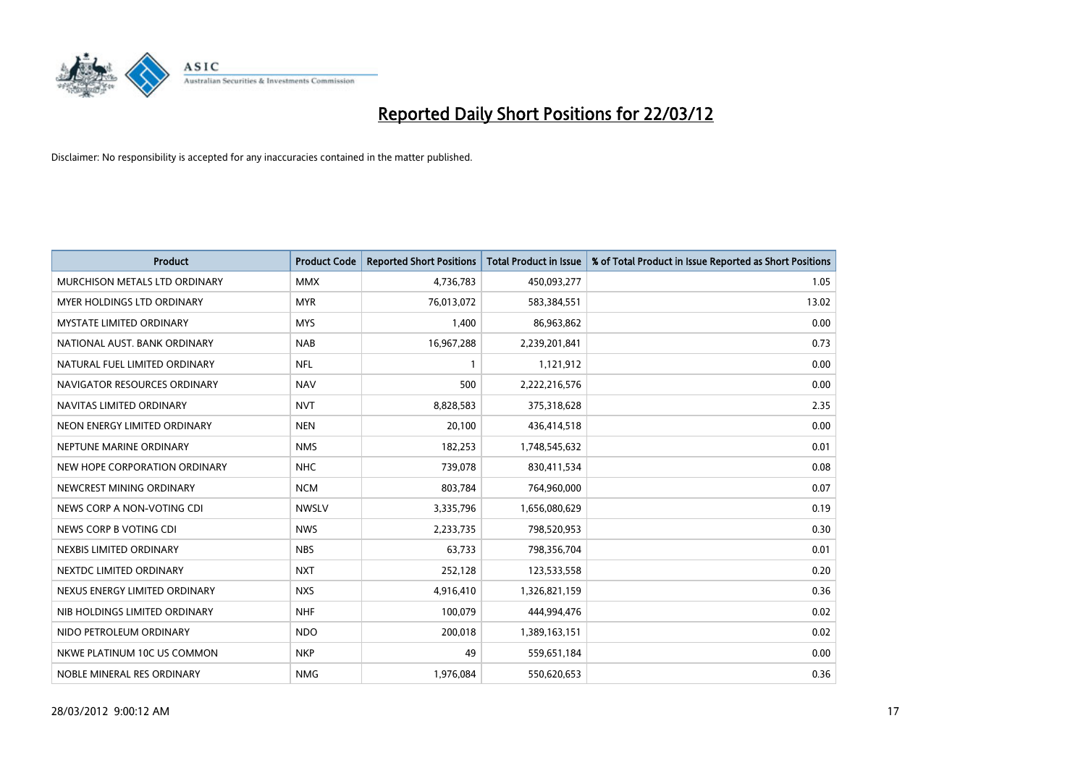

| <b>Product</b>                  | <b>Product Code</b> | <b>Reported Short Positions</b> | <b>Total Product in Issue</b> | % of Total Product in Issue Reported as Short Positions |
|---------------------------------|---------------------|---------------------------------|-------------------------------|---------------------------------------------------------|
| MURCHISON METALS LTD ORDINARY   | <b>MMX</b>          | 4,736,783                       | 450,093,277                   | 1.05                                                    |
| MYER HOLDINGS LTD ORDINARY      | <b>MYR</b>          | 76,013,072                      | 583,384,551                   | 13.02                                                   |
| <b>MYSTATE LIMITED ORDINARY</b> | <b>MYS</b>          | 1,400                           | 86,963,862                    | 0.00                                                    |
| NATIONAL AUST, BANK ORDINARY    | <b>NAB</b>          | 16,967,288                      | 2,239,201,841                 | 0.73                                                    |
| NATURAL FUEL LIMITED ORDINARY   | <b>NFL</b>          |                                 | 1,121,912                     | 0.00                                                    |
| NAVIGATOR RESOURCES ORDINARY    | <b>NAV</b>          | 500                             | 2,222,216,576                 | 0.00                                                    |
| NAVITAS LIMITED ORDINARY        | <b>NVT</b>          | 8,828,583                       | 375,318,628                   | 2.35                                                    |
| NEON ENERGY LIMITED ORDINARY    | <b>NEN</b>          | 20,100                          | 436,414,518                   | 0.00                                                    |
| NEPTUNE MARINE ORDINARY         | <b>NMS</b>          | 182,253                         | 1,748,545,632                 | 0.01                                                    |
| NEW HOPE CORPORATION ORDINARY   | <b>NHC</b>          | 739,078                         | 830,411,534                   | 0.08                                                    |
| NEWCREST MINING ORDINARY        | <b>NCM</b>          | 803,784                         | 764,960,000                   | 0.07                                                    |
| NEWS CORP A NON-VOTING CDI      | <b>NWSLV</b>        | 3,335,796                       | 1,656,080,629                 | 0.19                                                    |
| NEWS CORP B VOTING CDI          | <b>NWS</b>          | 2,233,735                       | 798,520,953                   | 0.30                                                    |
| NEXBIS LIMITED ORDINARY         | <b>NBS</b>          | 63,733                          | 798,356,704                   | 0.01                                                    |
| NEXTDC LIMITED ORDINARY         | <b>NXT</b>          | 252,128                         | 123,533,558                   | 0.20                                                    |
| NEXUS ENERGY LIMITED ORDINARY   | <b>NXS</b>          | 4,916,410                       | 1,326,821,159                 | 0.36                                                    |
| NIB HOLDINGS LIMITED ORDINARY   | <b>NHF</b>          | 100,079                         | 444,994,476                   | 0.02                                                    |
| NIDO PETROLEUM ORDINARY         | <b>NDO</b>          | 200,018                         | 1,389,163,151                 | 0.02                                                    |
| NKWE PLATINUM 10C US COMMON     | <b>NKP</b>          | 49                              | 559,651,184                   | 0.00                                                    |
| NOBLE MINERAL RES ORDINARY      | <b>NMG</b>          | 1,976,084                       | 550,620,653                   | 0.36                                                    |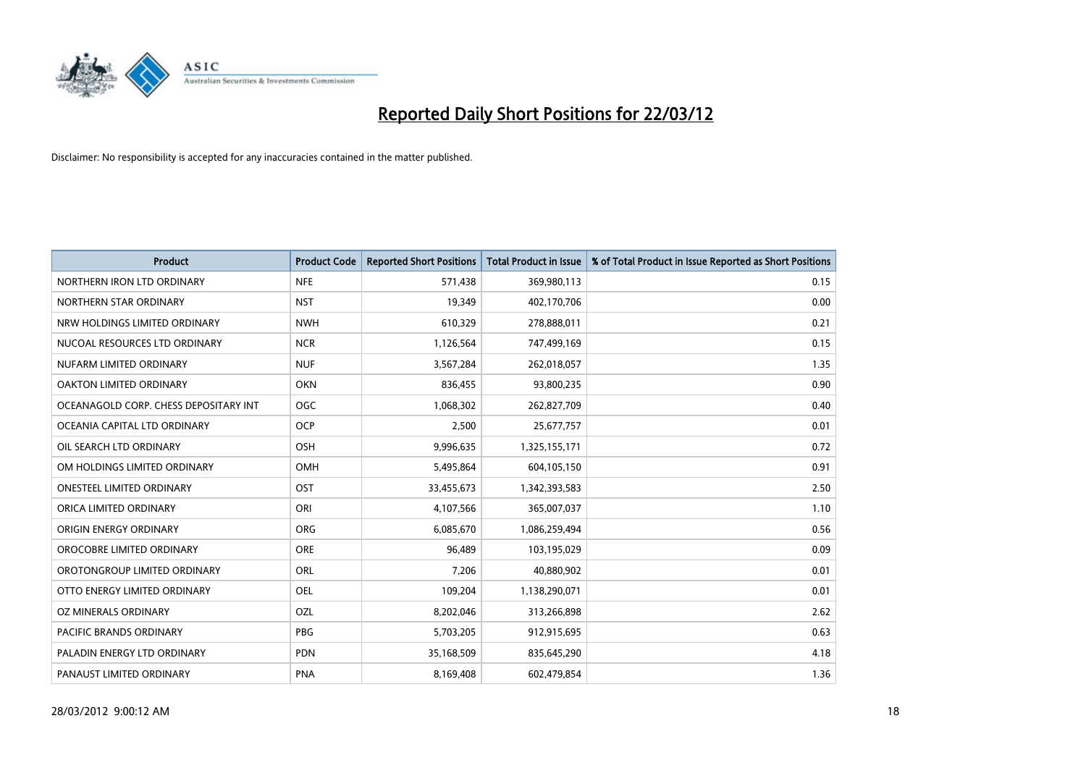

| <b>Product</b>                        | <b>Product Code</b> | <b>Reported Short Positions</b> | <b>Total Product in Issue</b> | % of Total Product in Issue Reported as Short Positions |
|---------------------------------------|---------------------|---------------------------------|-------------------------------|---------------------------------------------------------|
| NORTHERN IRON LTD ORDINARY            | <b>NFE</b>          | 571,438                         | 369,980,113                   | 0.15                                                    |
| NORTHERN STAR ORDINARY                | <b>NST</b>          | 19,349                          | 402,170,706                   | 0.00                                                    |
| NRW HOLDINGS LIMITED ORDINARY         | <b>NWH</b>          | 610,329                         | 278,888,011                   | 0.21                                                    |
| NUCOAL RESOURCES LTD ORDINARY         | <b>NCR</b>          | 1,126,564                       | 747,499,169                   | 0.15                                                    |
| NUFARM LIMITED ORDINARY               | <b>NUF</b>          | 3,567,284                       | 262,018,057                   | 1.35                                                    |
| <b>OAKTON LIMITED ORDINARY</b>        | <b>OKN</b>          | 836,455                         | 93,800,235                    | 0.90                                                    |
| OCEANAGOLD CORP. CHESS DEPOSITARY INT | OGC                 | 1,068,302                       | 262,827,709                   | 0.40                                                    |
| OCEANIA CAPITAL LTD ORDINARY          | <b>OCP</b>          | 2,500                           | 25,677,757                    | 0.01                                                    |
| OIL SEARCH LTD ORDINARY               | OSH                 | 9,996,635                       | 1,325,155,171                 | 0.72                                                    |
| OM HOLDINGS LIMITED ORDINARY          | OMH                 | 5,495,864                       | 604,105,150                   | 0.91                                                    |
| <b>ONESTEEL LIMITED ORDINARY</b>      | OST                 | 33,455,673                      | 1,342,393,583                 | 2.50                                                    |
| ORICA LIMITED ORDINARY                | ORI                 | 4,107,566                       | 365,007,037                   | 1.10                                                    |
| ORIGIN ENERGY ORDINARY                | <b>ORG</b>          | 6,085,670                       | 1,086,259,494                 | 0.56                                                    |
| OROCOBRE LIMITED ORDINARY             | <b>ORE</b>          | 96,489                          | 103,195,029                   | 0.09                                                    |
| OROTONGROUP LIMITED ORDINARY          | <b>ORL</b>          | 7,206                           | 40,880,902                    | 0.01                                                    |
| OTTO ENERGY LIMITED ORDINARY          | OEL                 | 109,204                         | 1,138,290,071                 | 0.01                                                    |
| OZ MINERALS ORDINARY                  | OZL                 | 8,202,046                       | 313,266,898                   | 2.62                                                    |
| <b>PACIFIC BRANDS ORDINARY</b>        | <b>PBG</b>          | 5,703,205                       | 912,915,695                   | 0.63                                                    |
| PALADIN ENERGY LTD ORDINARY           | <b>PDN</b>          | 35,168,509                      | 835,645,290                   | 4.18                                                    |
| PANAUST LIMITED ORDINARY              | <b>PNA</b>          | 8,169,408                       | 602,479,854                   | 1.36                                                    |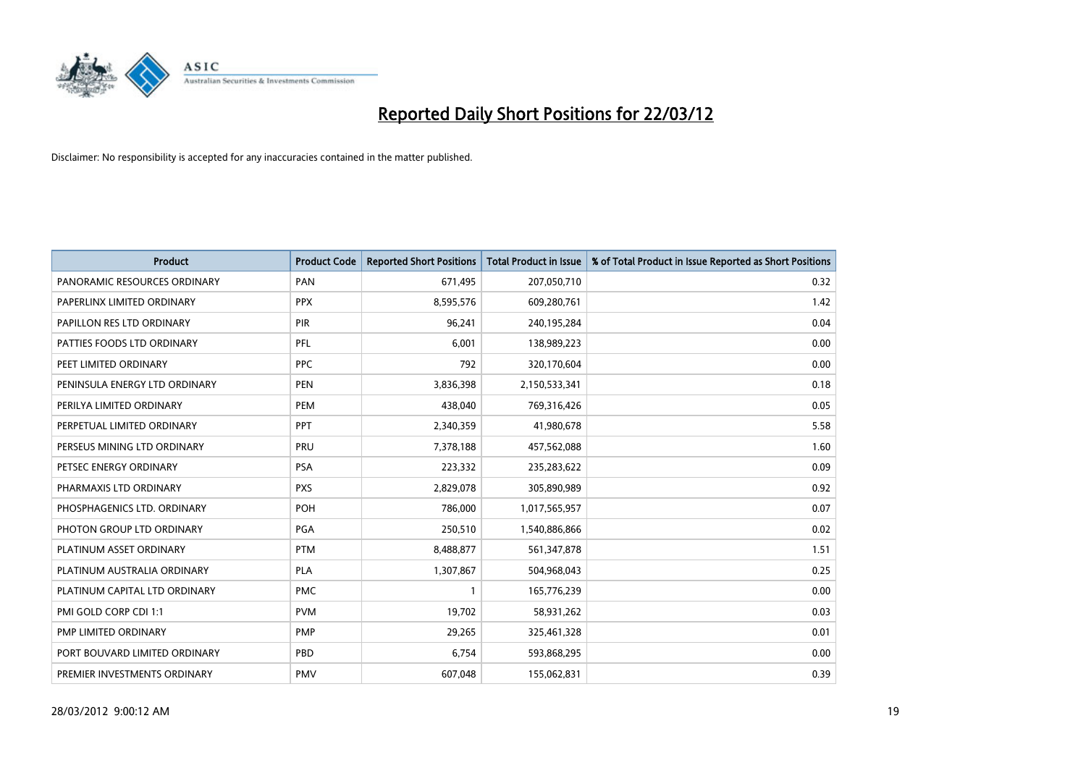

| <b>Product</b>                | <b>Product Code</b> | <b>Reported Short Positions</b> | <b>Total Product in Issue</b> | % of Total Product in Issue Reported as Short Positions |
|-------------------------------|---------------------|---------------------------------|-------------------------------|---------------------------------------------------------|
| PANORAMIC RESOURCES ORDINARY  | PAN                 | 671,495                         | 207,050,710                   | 0.32                                                    |
| PAPERLINX LIMITED ORDINARY    | <b>PPX</b>          | 8,595,576                       | 609,280,761                   | 1.42                                                    |
| PAPILLON RES LTD ORDINARY     | PIR                 | 96,241                          | 240,195,284                   | 0.04                                                    |
| PATTIES FOODS LTD ORDINARY    | PFL                 | 6,001                           | 138,989,223                   | 0.00                                                    |
| PEET LIMITED ORDINARY         | <b>PPC</b>          | 792                             | 320,170,604                   | 0.00                                                    |
| PENINSULA ENERGY LTD ORDINARY | <b>PEN</b>          | 3,836,398                       | 2,150,533,341                 | 0.18                                                    |
| PERILYA LIMITED ORDINARY      | PEM                 | 438,040                         | 769,316,426                   | 0.05                                                    |
| PERPETUAL LIMITED ORDINARY    | <b>PPT</b>          | 2,340,359                       | 41,980,678                    | 5.58                                                    |
| PERSEUS MINING LTD ORDINARY   | PRU                 | 7,378,188                       | 457,562,088                   | 1.60                                                    |
| PETSEC ENERGY ORDINARY        | <b>PSA</b>          | 223,332                         | 235,283,622                   | 0.09                                                    |
| PHARMAXIS LTD ORDINARY        | <b>PXS</b>          | 2,829,078                       | 305,890,989                   | 0.92                                                    |
| PHOSPHAGENICS LTD. ORDINARY   | POH                 | 786,000                         | 1,017,565,957                 | 0.07                                                    |
| PHOTON GROUP LTD ORDINARY     | <b>PGA</b>          | 250,510                         | 1,540,886,866                 | 0.02                                                    |
| PLATINUM ASSET ORDINARY       | <b>PTM</b>          | 8,488,877                       | 561,347,878                   | 1.51                                                    |
| PLATINUM AUSTRALIA ORDINARY   | <b>PLA</b>          | 1,307,867                       | 504,968,043                   | 0.25                                                    |
| PLATINUM CAPITAL LTD ORDINARY | <b>PMC</b>          | 1                               | 165,776,239                   | 0.00                                                    |
| PMI GOLD CORP CDI 1:1         | <b>PVM</b>          | 19,702                          | 58,931,262                    | 0.03                                                    |
| PMP LIMITED ORDINARY          | <b>PMP</b>          | 29,265                          | 325,461,328                   | 0.01                                                    |
| PORT BOUVARD LIMITED ORDINARY | PBD                 | 6,754                           | 593,868,295                   | 0.00                                                    |
| PREMIER INVESTMENTS ORDINARY  | <b>PMV</b>          | 607,048                         | 155,062,831                   | 0.39                                                    |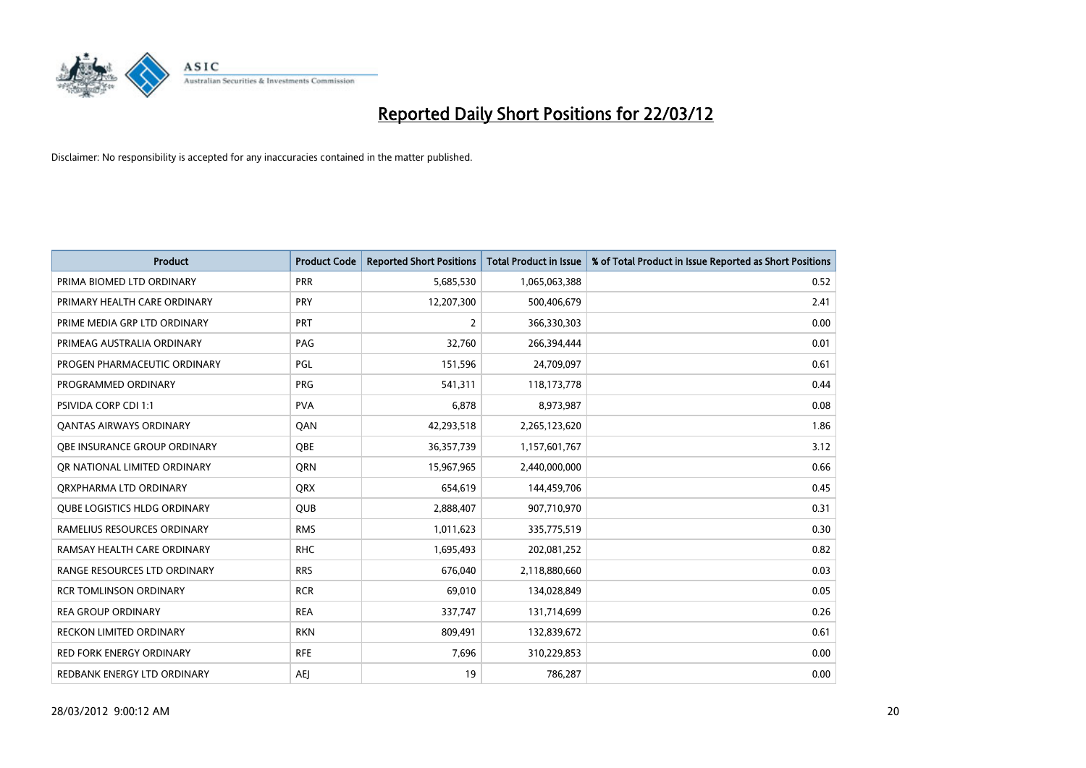

| <b>Product</b>                      | <b>Product Code</b> | <b>Reported Short Positions</b> | <b>Total Product in Issue</b> | % of Total Product in Issue Reported as Short Positions |
|-------------------------------------|---------------------|---------------------------------|-------------------------------|---------------------------------------------------------|
| PRIMA BIOMED LTD ORDINARY           | <b>PRR</b>          | 5,685,530                       | 1,065,063,388                 | 0.52                                                    |
| PRIMARY HEALTH CARE ORDINARY        | <b>PRY</b>          | 12,207,300                      | 500,406,679                   | 2.41                                                    |
| PRIME MEDIA GRP LTD ORDINARY        | <b>PRT</b>          | $\overline{2}$                  | 366,330,303                   | 0.00                                                    |
| PRIMEAG AUSTRALIA ORDINARY          | PAG                 | 32,760                          | 266,394,444                   | 0.01                                                    |
| PROGEN PHARMACEUTIC ORDINARY        | <b>PGL</b>          | 151,596                         | 24,709,097                    | 0.61                                                    |
| PROGRAMMED ORDINARY                 | <b>PRG</b>          | 541,311                         | 118,173,778                   | 0.44                                                    |
| <b>PSIVIDA CORP CDI 1:1</b>         | <b>PVA</b>          | 6,878                           | 8,973,987                     | 0.08                                                    |
| <b>QANTAS AIRWAYS ORDINARY</b>      | QAN                 | 42,293,518                      | 2,265,123,620                 | 1.86                                                    |
| OBE INSURANCE GROUP ORDINARY        | <b>OBE</b>          | 36, 357, 739                    | 1,157,601,767                 | 3.12                                                    |
| OR NATIONAL LIMITED ORDINARY        | <b>ORN</b>          | 15,967,965                      | 2,440,000,000                 | 0.66                                                    |
| ORXPHARMA LTD ORDINARY              | <b>QRX</b>          | 654,619                         | 144,459,706                   | 0.45                                                    |
| <b>QUBE LOGISTICS HLDG ORDINARY</b> | <b>QUB</b>          | 2,888,407                       | 907,710,970                   | 0.31                                                    |
| RAMELIUS RESOURCES ORDINARY         | <b>RMS</b>          | 1,011,623                       | 335,775,519                   | 0.30                                                    |
| RAMSAY HEALTH CARE ORDINARY         | <b>RHC</b>          | 1,695,493                       | 202,081,252                   | 0.82                                                    |
| RANGE RESOURCES LTD ORDINARY        | <b>RRS</b>          | 676,040                         | 2,118,880,660                 | 0.03                                                    |
| <b>RCR TOMLINSON ORDINARY</b>       | <b>RCR</b>          | 69,010                          | 134,028,849                   | 0.05                                                    |
| <b>REA GROUP ORDINARY</b>           | <b>REA</b>          | 337,747                         | 131,714,699                   | 0.26                                                    |
| <b>RECKON LIMITED ORDINARY</b>      | <b>RKN</b>          | 809,491                         | 132,839,672                   | 0.61                                                    |
| <b>RED FORK ENERGY ORDINARY</b>     | <b>RFE</b>          | 7,696                           | 310,229,853                   | 0.00                                                    |
| REDBANK ENERGY LTD ORDINARY         | AEJ                 | 19                              | 786,287                       | 0.00                                                    |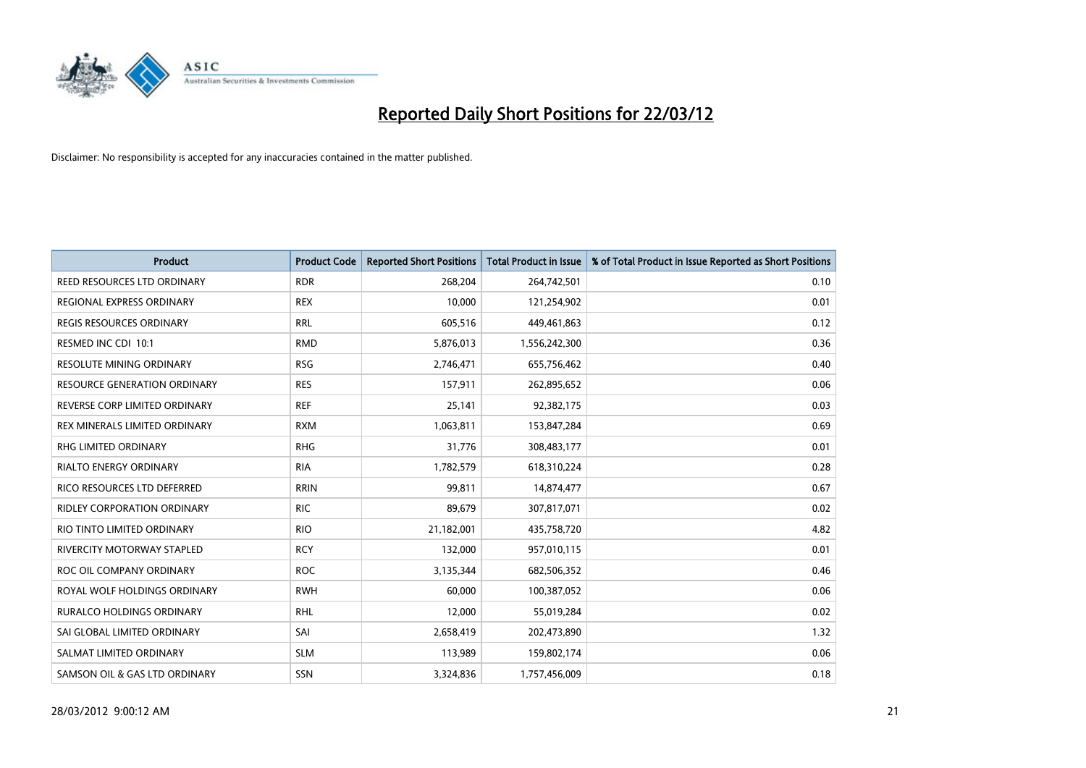

| <b>Product</b>                      | <b>Product Code</b> | <b>Reported Short Positions</b> | <b>Total Product in Issue</b> | % of Total Product in Issue Reported as Short Positions |
|-------------------------------------|---------------------|---------------------------------|-------------------------------|---------------------------------------------------------|
| REED RESOURCES LTD ORDINARY         | <b>RDR</b>          | 268,204                         | 264,742,501                   | 0.10                                                    |
| REGIONAL EXPRESS ORDINARY           | <b>REX</b>          | 10,000                          | 121,254,902                   | 0.01                                                    |
| <b>REGIS RESOURCES ORDINARY</b>     | <b>RRL</b>          | 605,516                         | 449,461,863                   | 0.12                                                    |
| RESMED INC CDI 10:1                 | <b>RMD</b>          | 5,876,013                       | 1,556,242,300                 | 0.36                                                    |
| <b>RESOLUTE MINING ORDINARY</b>     | <b>RSG</b>          | 2,746,471                       | 655,756,462                   | 0.40                                                    |
| <b>RESOURCE GENERATION ORDINARY</b> | <b>RES</b>          | 157,911                         | 262,895,652                   | 0.06                                                    |
| REVERSE CORP LIMITED ORDINARY       | <b>REF</b>          | 25,141                          | 92,382,175                    | 0.03                                                    |
| REX MINERALS LIMITED ORDINARY       | <b>RXM</b>          | 1,063,811                       | 153,847,284                   | 0.69                                                    |
| RHG LIMITED ORDINARY                | <b>RHG</b>          | 31,776                          | 308,483,177                   | 0.01                                                    |
| <b>RIALTO ENERGY ORDINARY</b>       | <b>RIA</b>          | 1,782,579                       | 618,310,224                   | 0.28                                                    |
| RICO RESOURCES LTD DEFERRED         | <b>RRIN</b>         | 99,811                          | 14,874,477                    | 0.67                                                    |
| RIDLEY CORPORATION ORDINARY         | <b>RIC</b>          | 89,679                          | 307,817,071                   | 0.02                                                    |
| RIO TINTO LIMITED ORDINARY          | <b>RIO</b>          | 21,182,001                      | 435,758,720                   | 4.82                                                    |
| RIVERCITY MOTORWAY STAPLED          | <b>RCY</b>          | 132,000                         | 957,010,115                   | 0.01                                                    |
| ROC OIL COMPANY ORDINARY            | <b>ROC</b>          | 3,135,344                       | 682,506,352                   | 0.46                                                    |
| ROYAL WOLF HOLDINGS ORDINARY        | <b>RWH</b>          | 60,000                          | 100,387,052                   | 0.06                                                    |
| RURALCO HOLDINGS ORDINARY           | <b>RHL</b>          | 12,000                          | 55,019,284                    | 0.02                                                    |
| SAI GLOBAL LIMITED ORDINARY         | SAI                 | 2,658,419                       | 202,473,890                   | 1.32                                                    |
| SALMAT LIMITED ORDINARY             | <b>SLM</b>          | 113,989                         | 159,802,174                   | 0.06                                                    |
| SAMSON OIL & GAS LTD ORDINARY       | SSN                 | 3,324,836                       | 1,757,456,009                 | 0.18                                                    |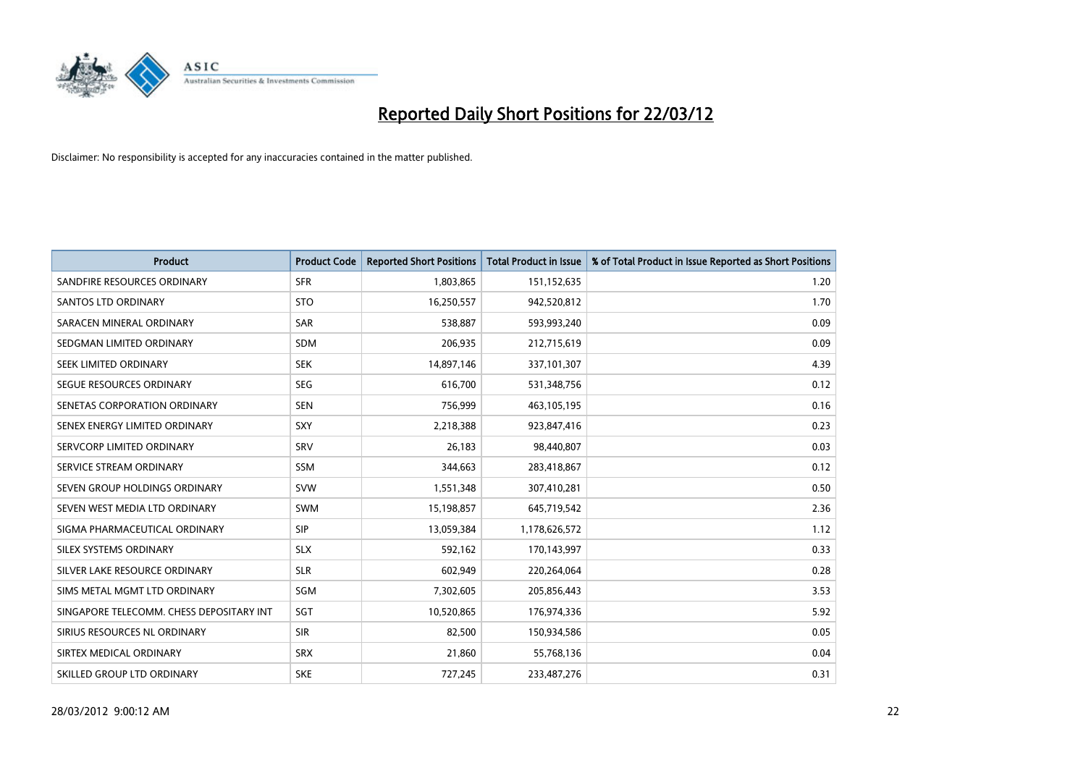

| <b>Product</b>                           | <b>Product Code</b> | <b>Reported Short Positions</b> | <b>Total Product in Issue</b> | % of Total Product in Issue Reported as Short Positions |
|------------------------------------------|---------------------|---------------------------------|-------------------------------|---------------------------------------------------------|
| SANDFIRE RESOURCES ORDINARY              | <b>SFR</b>          | 1,803,865                       | 151,152,635                   | 1.20                                                    |
| SANTOS LTD ORDINARY                      | <b>STO</b>          | 16,250,557                      | 942,520,812                   | 1.70                                                    |
| SARACEN MINERAL ORDINARY                 | <b>SAR</b>          | 538,887                         | 593,993,240                   | 0.09                                                    |
| SEDGMAN LIMITED ORDINARY                 | <b>SDM</b>          | 206,935                         | 212,715,619                   | 0.09                                                    |
| SEEK LIMITED ORDINARY                    | <b>SEK</b>          | 14,897,146                      | 337,101,307                   | 4.39                                                    |
| SEGUE RESOURCES ORDINARY                 | <b>SEG</b>          | 616,700                         | 531,348,756                   | 0.12                                                    |
| SENETAS CORPORATION ORDINARY             | <b>SEN</b>          | 756,999                         | 463,105,195                   | 0.16                                                    |
| SENEX ENERGY LIMITED ORDINARY            | <b>SXY</b>          | 2,218,388                       | 923,847,416                   | 0.23                                                    |
| SERVCORP LIMITED ORDINARY                | SRV                 | 26,183                          | 98,440,807                    | 0.03                                                    |
| SERVICE STREAM ORDINARY                  | <b>SSM</b>          | 344,663                         | 283,418,867                   | 0.12                                                    |
| SEVEN GROUP HOLDINGS ORDINARY            | <b>SVW</b>          | 1,551,348                       | 307,410,281                   | 0.50                                                    |
| SEVEN WEST MEDIA LTD ORDINARY            | SWM                 | 15,198,857                      | 645,719,542                   | 2.36                                                    |
| SIGMA PHARMACEUTICAL ORDINARY            | <b>SIP</b>          | 13,059,384                      | 1,178,626,572                 | 1.12                                                    |
| SILEX SYSTEMS ORDINARY                   | <b>SLX</b>          | 592,162                         | 170,143,997                   | 0.33                                                    |
| SILVER LAKE RESOURCE ORDINARY            | <b>SLR</b>          | 602,949                         | 220,264,064                   | 0.28                                                    |
| SIMS METAL MGMT LTD ORDINARY             | SGM                 | 7,302,605                       | 205,856,443                   | 3.53                                                    |
| SINGAPORE TELECOMM. CHESS DEPOSITARY INT | SGT                 | 10,520,865                      | 176,974,336                   | 5.92                                                    |
| SIRIUS RESOURCES NL ORDINARY             | <b>SIR</b>          | 82,500                          | 150,934,586                   | 0.05                                                    |
| SIRTEX MEDICAL ORDINARY                  | <b>SRX</b>          | 21,860                          | 55,768,136                    | 0.04                                                    |
| SKILLED GROUP LTD ORDINARY               | <b>SKE</b>          | 727,245                         | 233,487,276                   | 0.31                                                    |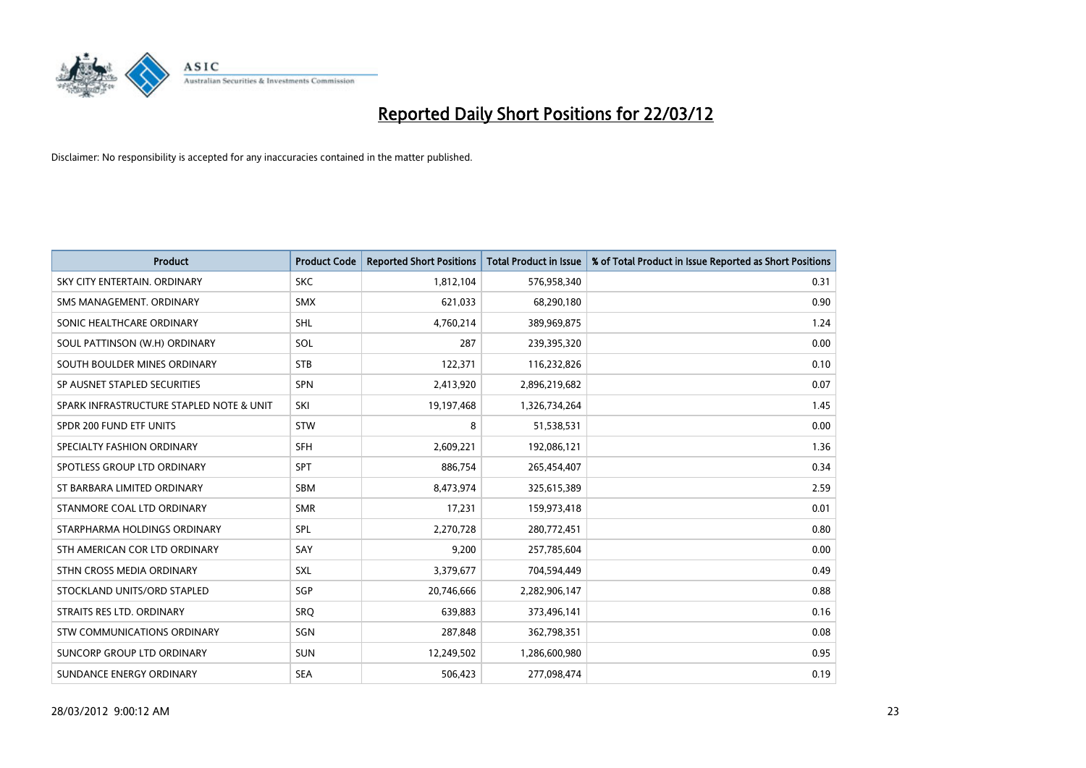

| <b>Product</b>                           | <b>Product Code</b> | <b>Reported Short Positions</b> | <b>Total Product in Issue</b> | % of Total Product in Issue Reported as Short Positions |
|------------------------------------------|---------------------|---------------------------------|-------------------------------|---------------------------------------------------------|
| SKY CITY ENTERTAIN, ORDINARY             | <b>SKC</b>          | 1,812,104                       | 576,958,340                   | 0.31                                                    |
| SMS MANAGEMENT, ORDINARY                 | <b>SMX</b>          | 621,033                         | 68,290,180                    | 0.90                                                    |
| SONIC HEALTHCARE ORDINARY                | <b>SHL</b>          | 4,760,214                       | 389,969,875                   | 1.24                                                    |
| SOUL PATTINSON (W.H) ORDINARY            | SOL                 | 287                             | 239,395,320                   | 0.00                                                    |
| SOUTH BOULDER MINES ORDINARY             | <b>STB</b>          | 122,371                         | 116,232,826                   | 0.10                                                    |
| SP AUSNET STAPLED SECURITIES             | <b>SPN</b>          | 2,413,920                       | 2,896,219,682                 | 0.07                                                    |
| SPARK INFRASTRUCTURE STAPLED NOTE & UNIT | SKI                 | 19,197,468                      | 1,326,734,264                 | 1.45                                                    |
| SPDR 200 FUND ETF UNITS                  | <b>STW</b>          | 8                               | 51,538,531                    | 0.00                                                    |
| SPECIALTY FASHION ORDINARY               | <b>SFH</b>          | 2,609,221                       | 192,086,121                   | 1.36                                                    |
| SPOTLESS GROUP LTD ORDINARY              | <b>SPT</b>          | 886,754                         | 265,454,407                   | 0.34                                                    |
| ST BARBARA LIMITED ORDINARY              | <b>SBM</b>          | 8,473,974                       | 325,615,389                   | 2.59                                                    |
| STANMORE COAL LTD ORDINARY               | <b>SMR</b>          | 17,231                          | 159,973,418                   | 0.01                                                    |
| STARPHARMA HOLDINGS ORDINARY             | SPL                 | 2,270,728                       | 280,772,451                   | 0.80                                                    |
| STH AMERICAN COR LTD ORDINARY            | SAY                 | 9,200                           | 257,785,604                   | 0.00                                                    |
| STHN CROSS MEDIA ORDINARY                | <b>SXL</b>          | 3,379,677                       | 704,594,449                   | 0.49                                                    |
| STOCKLAND UNITS/ORD STAPLED              | <b>SGP</b>          | 20,746,666                      | 2,282,906,147                 | 0.88                                                    |
| STRAITS RES LTD. ORDINARY                | <b>SRQ</b>          | 639,883                         | 373,496,141                   | 0.16                                                    |
| <b>STW COMMUNICATIONS ORDINARY</b>       | SGN                 | 287,848                         | 362,798,351                   | 0.08                                                    |
| SUNCORP GROUP LTD ORDINARY               | <b>SUN</b>          | 12,249,502                      | 1,286,600,980                 | 0.95                                                    |
| SUNDANCE ENERGY ORDINARY                 | <b>SEA</b>          | 506,423                         | 277,098,474                   | 0.19                                                    |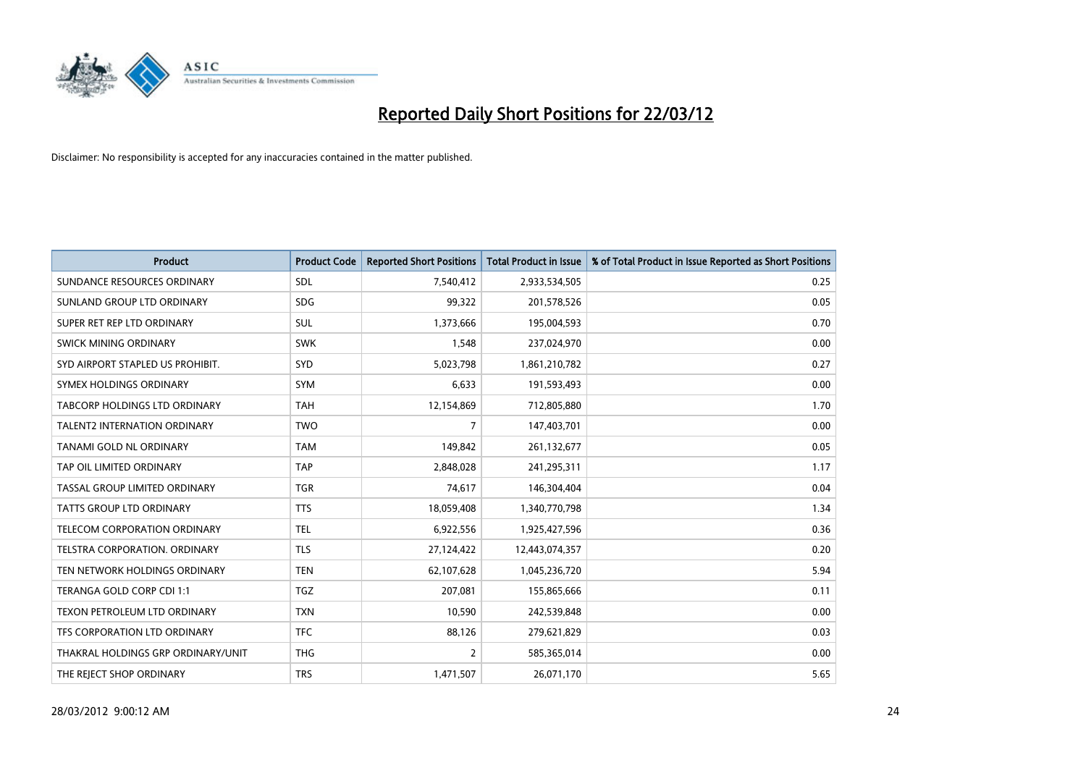

| <b>Product</b>                       | <b>Product Code</b> | <b>Reported Short Positions</b> | <b>Total Product in Issue</b> | % of Total Product in Issue Reported as Short Positions |
|--------------------------------------|---------------------|---------------------------------|-------------------------------|---------------------------------------------------------|
| SUNDANCE RESOURCES ORDINARY          | SDL                 | 7,540,412                       | 2,933,534,505                 | 0.25                                                    |
| SUNLAND GROUP LTD ORDINARY           | <b>SDG</b>          | 99,322                          | 201,578,526                   | 0.05                                                    |
| SUPER RET REP LTD ORDINARY           | SUL                 | 1,373,666                       | 195,004,593                   | 0.70                                                    |
| SWICK MINING ORDINARY                | <b>SWK</b>          | 1,548                           | 237,024,970                   | 0.00                                                    |
| SYD AIRPORT STAPLED US PROHIBIT.     | SYD                 | 5,023,798                       | 1,861,210,782                 | 0.27                                                    |
| SYMEX HOLDINGS ORDINARY              | <b>SYM</b>          | 6,633                           | 191,593,493                   | 0.00                                                    |
| <b>TABCORP HOLDINGS LTD ORDINARY</b> | <b>TAH</b>          | 12,154,869                      | 712,805,880                   | 1.70                                                    |
| <b>TALENT2 INTERNATION ORDINARY</b>  | <b>TWO</b>          | 7                               | 147,403,701                   | 0.00                                                    |
| TANAMI GOLD NL ORDINARY              | <b>TAM</b>          | 149,842                         | 261,132,677                   | 0.05                                                    |
| TAP OIL LIMITED ORDINARY             | <b>TAP</b>          | 2,848,028                       | 241,295,311                   | 1.17                                                    |
| TASSAL GROUP LIMITED ORDINARY        | <b>TGR</b>          | 74,617                          | 146,304,404                   | 0.04                                                    |
| TATTS GROUP LTD ORDINARY             | <b>TTS</b>          | 18,059,408                      | 1,340,770,798                 | 1.34                                                    |
| TELECOM CORPORATION ORDINARY         | <b>TEL</b>          | 6,922,556                       | 1,925,427,596                 | 0.36                                                    |
| TELSTRA CORPORATION, ORDINARY        | <b>TLS</b>          | 27,124,422                      | 12,443,074,357                | 0.20                                                    |
| TEN NETWORK HOLDINGS ORDINARY        | <b>TEN</b>          | 62,107,628                      | 1,045,236,720                 | 5.94                                                    |
| TERANGA GOLD CORP CDI 1:1            | <b>TGZ</b>          | 207,081                         | 155,865,666                   | 0.11                                                    |
| TEXON PETROLEUM LTD ORDINARY         | <b>TXN</b>          | 10,590                          | 242,539,848                   | 0.00                                                    |
| TFS CORPORATION LTD ORDINARY         | <b>TFC</b>          | 88,126                          | 279,621,829                   | 0.03                                                    |
| THAKRAL HOLDINGS GRP ORDINARY/UNIT   | <b>THG</b>          | 2                               | 585,365,014                   | 0.00                                                    |
| THE REJECT SHOP ORDINARY             | <b>TRS</b>          | 1,471,507                       | 26,071,170                    | 5.65                                                    |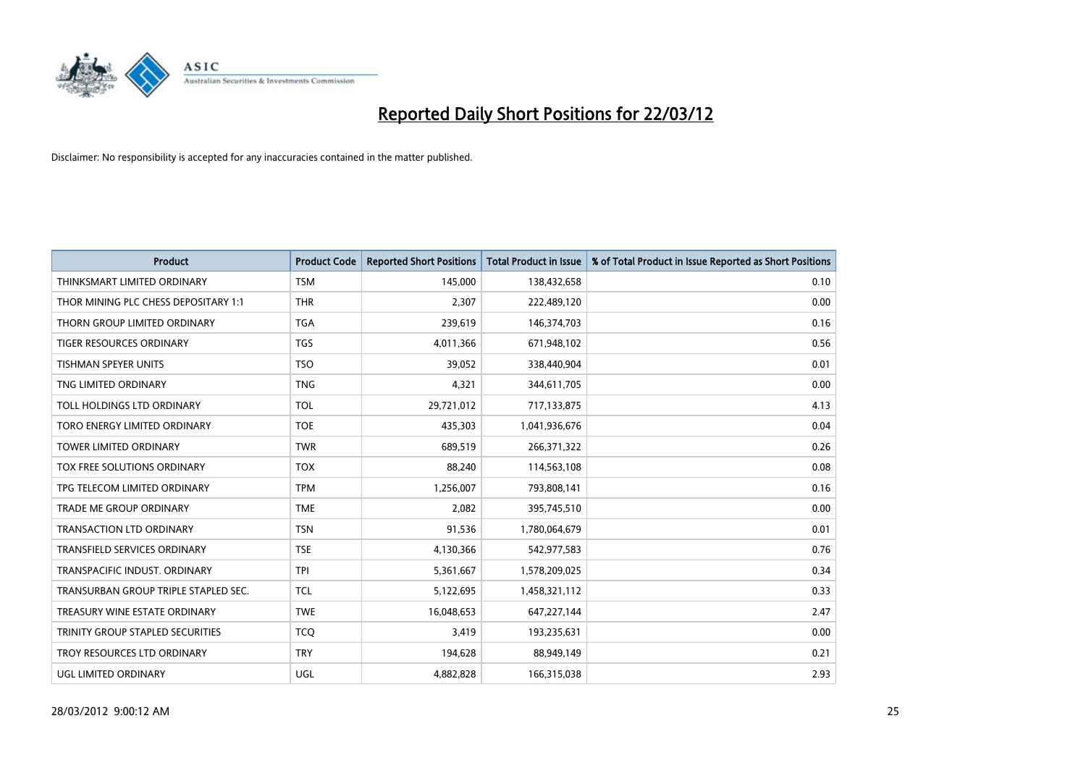

| <b>Product</b>                       | <b>Product Code</b> | <b>Reported Short Positions</b> | <b>Total Product in Issue</b> | % of Total Product in Issue Reported as Short Positions |
|--------------------------------------|---------------------|---------------------------------|-------------------------------|---------------------------------------------------------|
| THINKSMART LIMITED ORDINARY          | <b>TSM</b>          | 145,000                         | 138,432,658                   | 0.10                                                    |
| THOR MINING PLC CHESS DEPOSITARY 1:1 | <b>THR</b>          | 2.307                           | 222,489,120                   | 0.00                                                    |
| THORN GROUP LIMITED ORDINARY         | <b>TGA</b>          | 239,619                         | 146,374,703                   | 0.16                                                    |
| TIGER RESOURCES ORDINARY             | <b>TGS</b>          | 4,011,366                       | 671,948,102                   | 0.56                                                    |
| <b>TISHMAN SPEYER UNITS</b>          | <b>TSO</b>          | 39,052                          | 338,440,904                   | 0.01                                                    |
| TNG LIMITED ORDINARY                 | <b>TNG</b>          | 4,321                           | 344,611,705                   | 0.00                                                    |
| TOLL HOLDINGS LTD ORDINARY           | <b>TOL</b>          | 29,721,012                      | 717,133,875                   | 4.13                                                    |
| TORO ENERGY LIMITED ORDINARY         | <b>TOE</b>          | 435,303                         | 1,041,936,676                 | 0.04                                                    |
| <b>TOWER LIMITED ORDINARY</b>        | <b>TWR</b>          | 689,519                         | 266,371,322                   | 0.26                                                    |
| TOX FREE SOLUTIONS ORDINARY          | <b>TOX</b>          | 88,240                          | 114,563,108                   | 0.08                                                    |
| TPG TELECOM LIMITED ORDINARY         | <b>TPM</b>          | 1,256,007                       | 793,808,141                   | 0.16                                                    |
| <b>TRADE ME GROUP ORDINARY</b>       | <b>TME</b>          | 2,082                           | 395,745,510                   | 0.00                                                    |
| <b>TRANSACTION LTD ORDINARY</b>      | <b>TSN</b>          | 91,536                          | 1,780,064,679                 | 0.01                                                    |
| <b>TRANSFIELD SERVICES ORDINARY</b>  | <b>TSE</b>          | 4,130,366                       | 542,977,583                   | 0.76                                                    |
| TRANSPACIFIC INDUST, ORDINARY        | <b>TPI</b>          | 5,361,667                       | 1,578,209,025                 | 0.34                                                    |
| TRANSURBAN GROUP TRIPLE STAPLED SEC. | <b>TCL</b>          | 5,122,695                       | 1,458,321,112                 | 0.33                                                    |
| TREASURY WINE ESTATE ORDINARY        | <b>TWE</b>          | 16,048,653                      | 647,227,144                   | 2.47                                                    |
| TRINITY GROUP STAPLED SECURITIES     | <b>TCO</b>          | 3,419                           | 193,235,631                   | 0.00                                                    |
| TROY RESOURCES LTD ORDINARY          | <b>TRY</b>          | 194,628                         | 88,949,149                    | 0.21                                                    |
| UGL LIMITED ORDINARY                 | UGL                 | 4,882,828                       | 166,315,038                   | 2.93                                                    |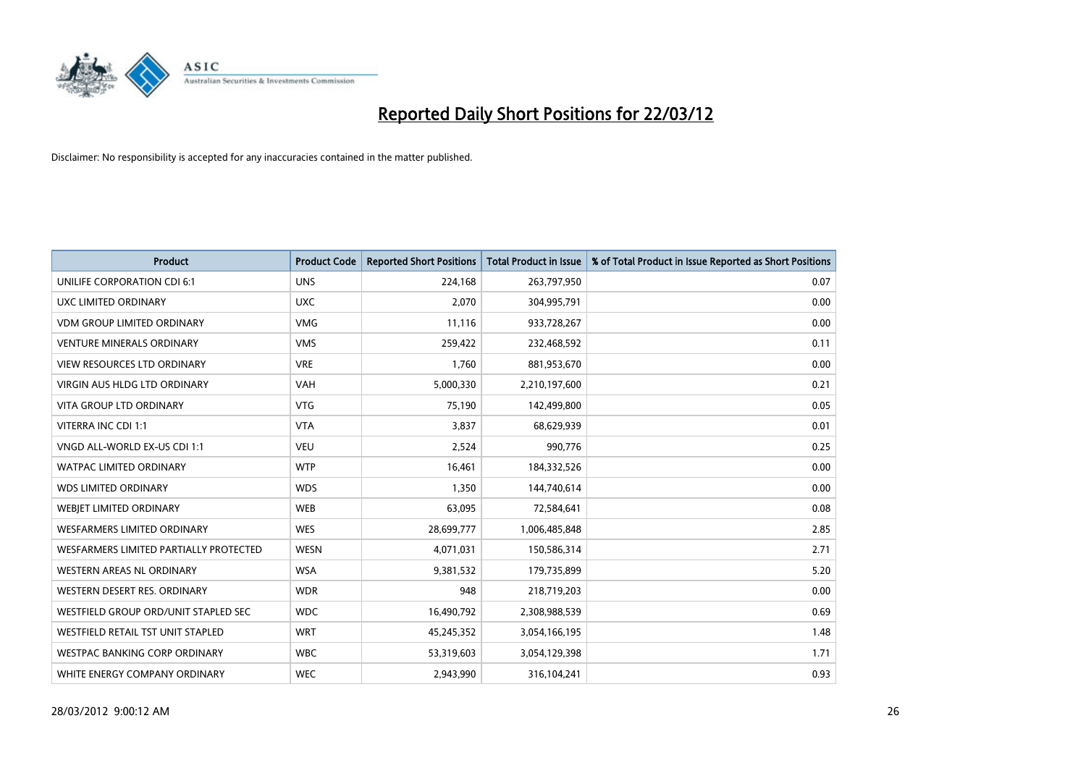

| <b>Product</b>                         | <b>Product Code</b> | <b>Reported Short Positions</b> | <b>Total Product in Issue</b> | % of Total Product in Issue Reported as Short Positions |
|----------------------------------------|---------------------|---------------------------------|-------------------------------|---------------------------------------------------------|
| UNILIFE CORPORATION CDI 6:1            | <b>UNS</b>          | 224,168                         | 263,797,950                   | 0.07                                                    |
| UXC LIMITED ORDINARY                   | <b>UXC</b>          | 2,070                           | 304,995,791                   | 0.00                                                    |
| <b>VDM GROUP LIMITED ORDINARY</b>      | <b>VMG</b>          | 11,116                          | 933,728,267                   | 0.00                                                    |
| <b>VENTURE MINERALS ORDINARY</b>       | <b>VMS</b>          | 259,422                         | 232,468,592                   | 0.11                                                    |
| <b>VIEW RESOURCES LTD ORDINARY</b>     | <b>VRE</b>          | 1,760                           | 881,953,670                   | 0.00                                                    |
| <b>VIRGIN AUS HLDG LTD ORDINARY</b>    | <b>VAH</b>          | 5,000,330                       | 2,210,197,600                 | 0.21                                                    |
| <b>VITA GROUP LTD ORDINARY</b>         | <b>VTG</b>          | 75,190                          | 142,499,800                   | 0.05                                                    |
| VITERRA INC CDI 1:1                    | <b>VTA</b>          | 3,837                           | 68,629,939                    | 0.01                                                    |
| VNGD ALL-WORLD EX-US CDI 1:1           | <b>VEU</b>          | 2,524                           | 990,776                       | 0.25                                                    |
| <b>WATPAC LIMITED ORDINARY</b>         | <b>WTP</b>          | 16,461                          | 184,332,526                   | 0.00                                                    |
| <b>WDS LIMITED ORDINARY</b>            | <b>WDS</b>          | 1,350                           | 144,740,614                   | 0.00                                                    |
| WEBIET LIMITED ORDINARY                | <b>WEB</b>          | 63,095                          | 72,584,641                    | 0.08                                                    |
| <b>WESFARMERS LIMITED ORDINARY</b>     | <b>WES</b>          | 28,699,777                      | 1,006,485,848                 | 2.85                                                    |
| WESFARMERS LIMITED PARTIALLY PROTECTED | <b>WESN</b>         | 4,071,031                       | 150,586,314                   | 2.71                                                    |
| <b>WESTERN AREAS NL ORDINARY</b>       | <b>WSA</b>          | 9,381,532                       | 179,735,899                   | 5.20                                                    |
| WESTERN DESERT RES. ORDINARY           | <b>WDR</b>          | 948                             | 218,719,203                   | 0.00                                                    |
| WESTFIELD GROUP ORD/UNIT STAPLED SEC   | <b>WDC</b>          | 16,490,792                      | 2,308,988,539                 | 0.69                                                    |
| WESTFIELD RETAIL TST UNIT STAPLED      | <b>WRT</b>          | 45,245,352                      | 3,054,166,195                 | 1.48                                                    |
| WESTPAC BANKING CORP ORDINARY          | <b>WBC</b>          | 53,319,603                      | 3,054,129,398                 | 1.71                                                    |
| WHITE ENERGY COMPANY ORDINARY          | <b>WEC</b>          | 2,943,990                       | 316,104,241                   | 0.93                                                    |